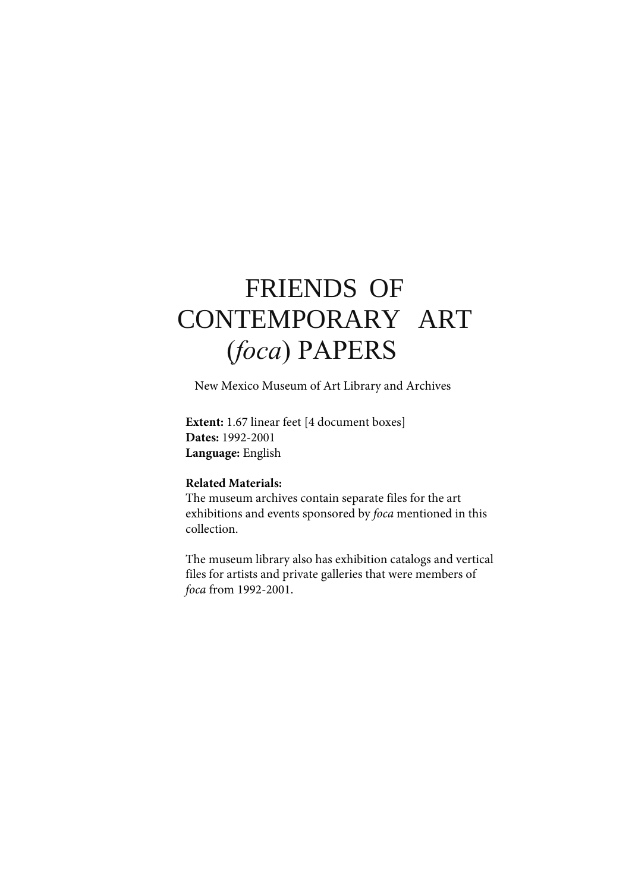# FRIENDS OF CONTEMPORARY ART (*foca*) PAPERS

New Mexico Museum of Art Library and Archives

**Extent:** 1.67 linear feet [4 document boxes] **Dates:** 1992-2001 **Language:** English

### **Related Materials:**

The museum archives contain separate files for the art exhibitions and events sponsored by *foca* mentioned in this collection.

The museum library also has exhibition catalogs and vertical files for artists and private galleries that were members of *foca* from 1992-2001.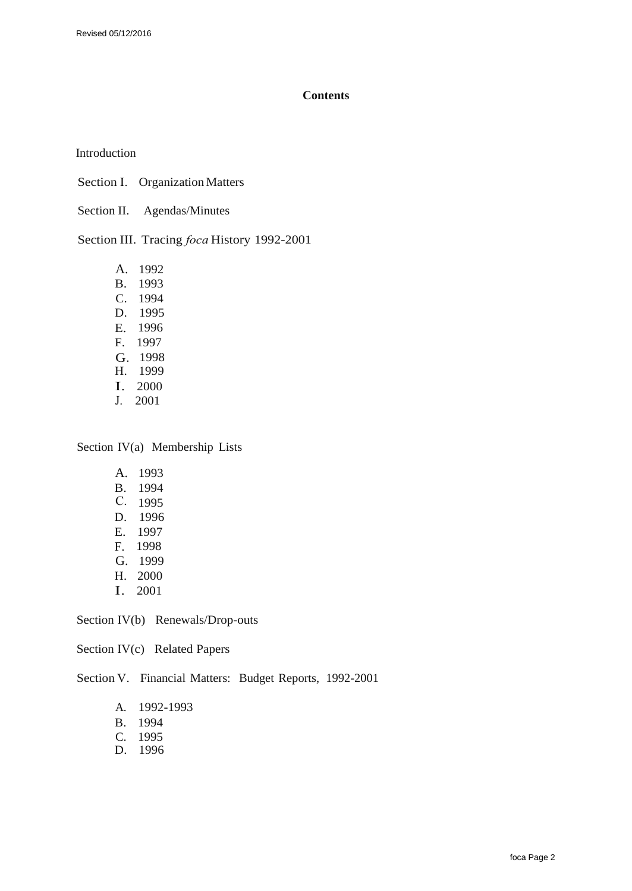#### **Contents**

Introduction

Section I. Organization Matters

Section II. Agendas/Minutes

Section III. Tracing *foca* History 1992-2001

A. 1992 B. 1993 C. 1994 D. 1995 E. 1996 F. 1997 G. 1998 H. 1999 I. 2000 J. 2001

Section IV(a) Membership Lists

A. 1993 B. 1994 C. 1995 D. 1996 E. 1997 F. 1998 G. 1999 H. 2000 I. 2001

Section IV(b) Renewals/Drop-outs

Section IV(c) Related Papers

Section V. Financial Matters: Budget Reports, 1992-2001

- A. 1992-1993
- B. 1994
- C. 1995
- D. 1996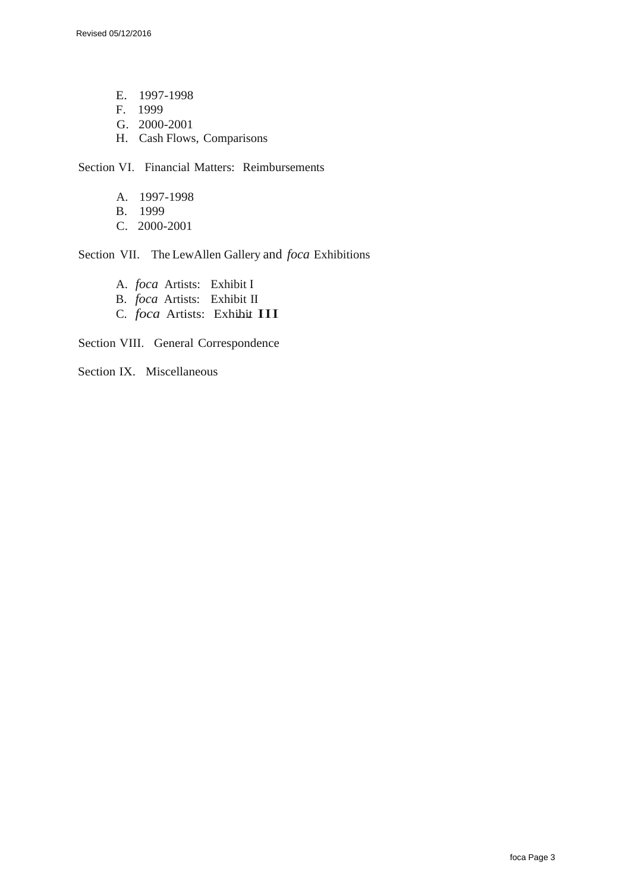Revised 05/12/2016

E. 1997-1998 F. 1999 G. 2000-2001 H. Cash Flows, Comparisons

Section VI. Financial Matters: Reimbursements

- A. 1997-1998
- B. 1999
- C. 2000-2001

Section VII. The LewAllen Gallery and *foca* Exhibitions

A. *foca* Artists: Exhibit I B. *foca* Artists: Exhibit II C. *foca* Artists: Exhibit III

Section VIII. General Correspondence

Section IX. Miscellaneous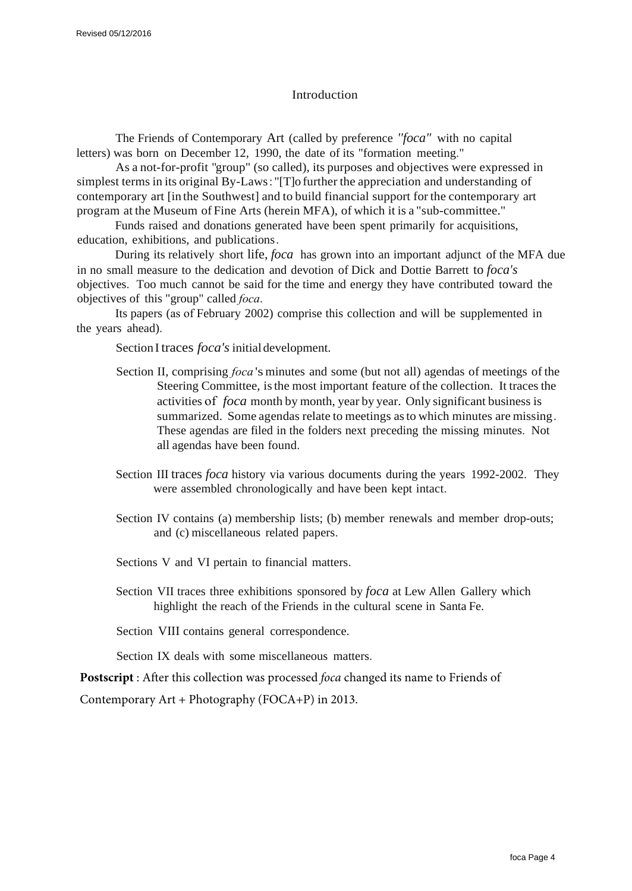### Introduction

The Friends of Contemporary Art (called by preference *''foca"* with no capital letters) was born on December 12, 1990, the date of its "formation meeting."

As a not-for-profit "group" (so called), its purposes and objectives were expressed in simplest terms in its original By-Laws : "[T]o further the appreciation and understanding of contemporary art [in the Southwest] and to build financial support for the contemporary art program at the Museum of Fine Arts (herein MFA), of which it is a "sub-committee."

Funds raised and donations generated have been spent primarily for acquisitions, education, exhibitions, and publications.

During its relatively short life, *foca* has grown into an important adjunct of the MFA due in no small measure to the dedication and devotion of Dick and Dottie Barrett to *foca's* objectives. Too much cannot be said for the time and energy they have contributed toward the objectives of this "group" called *foca*.

Its papers (as of February 2002) comprise this collection and will be supplemented in the years ahead).

Section I traces *foca's* initial development.

- Section II, comprising *foca* 's minutes and some (but not all) agendas of meetings of the Steering Committee, isthe most important feature of the collection. It traces the activities of *foca* month by month, year by year. Only significant business is summarized. Some agendas relate to meetings asto which minutes are missing . These agendas are filed in the folders next preceding the missing minutes. Not all agendas have been found.
- Section III traces *foca* history via various documents during the years 1992-2002. They were assembled chronologically and have been kept intact.
- Section IV contains (a) membership lists; (b) member renewals and member drop-outs; and (c) miscellaneous related papers.
- Sections V and VI pertain to financial matters.
- Section VII traces three exhibitions sponsored by *foca* at Lew Allen Gallery which highlight the reach of the Friends in the cultural scene in Santa Fe.

Section VIII contains general correspondence.

Section IX deals with some miscellaneous matters.

**Postscript** : After this collection was processed *foca* changed its name to Friends of

Contemporary Art + Photography (FOCA+P) in 2013.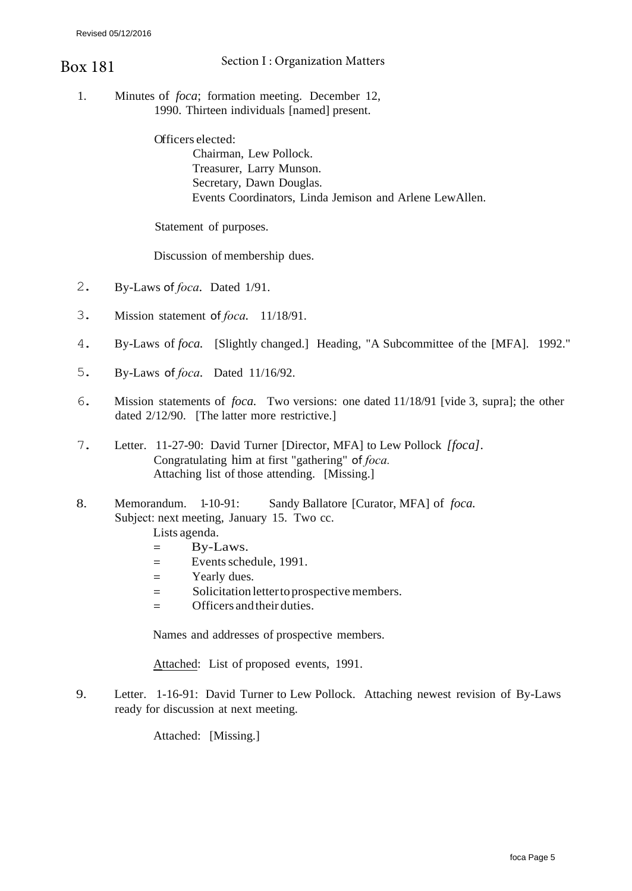# Section I : Organization Matters Box 181

- 1. Minutes of *foca*; formation meeting. December 12,
	- 1990. Thirteen individuals [named] present.

Officers elected: Chairman, Lew Pollock. Treasurer, Larry Munson. Secretary, Dawn Douglas. Events Coordinators, Linda Jemison and Arlene LewAllen.

Statement of purposes.

Discussion of membership dues.

- 2. By-Laws of *foca.* Dated 1/91.
- 3. Mission statement of *foca.* 11/18/91.
- 4. By-Laws of *foca.* [Slightly changed.] Heading, "A Subcommittee of the [MFA]. 1992."
- 5. By-Laws of *foca.* Dated 11/16/92.
- 6. Mission statements of *foca.* Two versions: one dated 11/18/91 [vide 3, supra]; the other dated 2/12/90. [The latter more restrictive.]
- 7. Letter. 11-27-90: David Turner [Director, MFA] to Lew Pollock *[foca].* Congratulating him at first "gathering" of *foca.* Attaching list of those attending. [Missing.]
- 8. Memorandum. 1-10-91: Sandy Ballatore [Curator, MFA] of *foca.*  Subject: next meeting, January 15. Two cc.
	- Lists agenda.
	- $=$  By-Laws.
	- = Events schedule, 1991.
	- = Yearly dues.
	- = Solicitation letter to prospective members.
	- Officers and their duties.

Names and addresses of prospective members.

Attached: List of proposed events, 1991.

9. Letter. 1-16-91: David Turner to Lew Pollock. Attaching newest revision of By-Laws ready for discussion at next meeting.

Attached: [Missing.]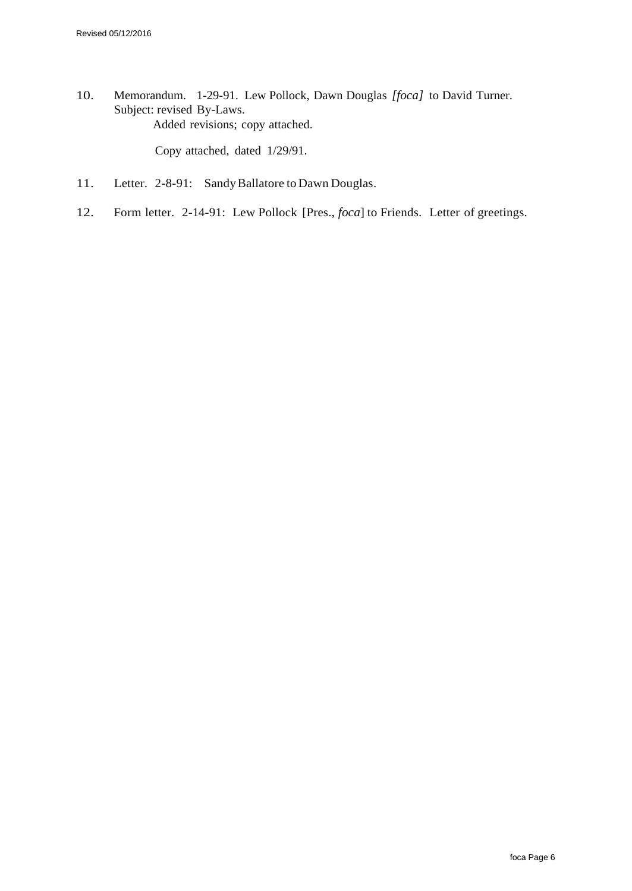10. Memorandum. 1-29-91. Lew Pollock, Dawn Douglas *[foca]* to David Turner. Subject: revised By-Laws. Added revisions; copy attached.

Copy attached, dated 1/29/91.

- 11. Letter. 2-8-91: Sandy Ballatore to Dawn Douglas.
- 12. Form letter. 2-14-91: Lew Pollock [Pres., *foca*] to Friends. Letter of greetings.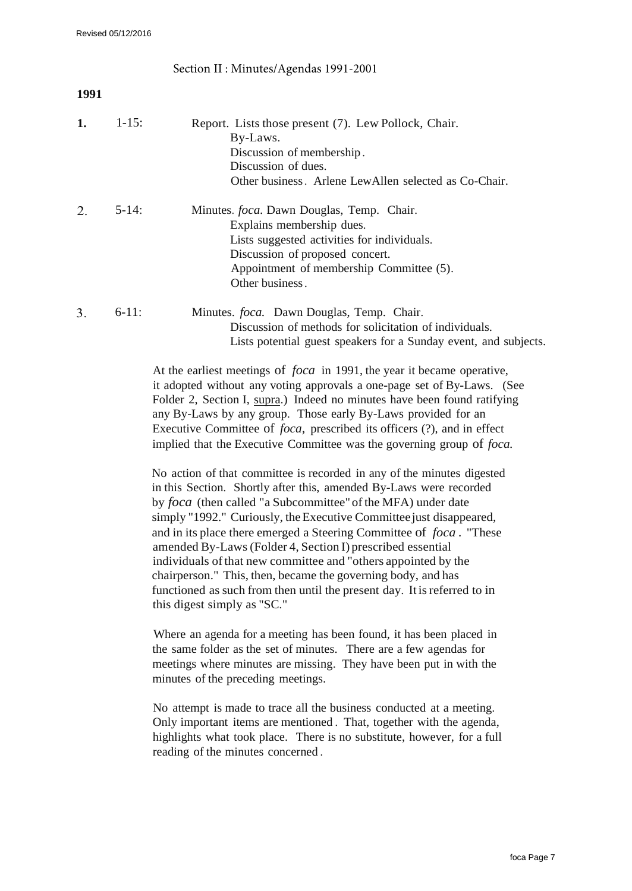|      |            | Section II : Minutes/Agendas 1991-2001                                                                                                                                                                                                                                                                                                                                                                                                                                                                                                                                                                                                        |
|------|------------|-----------------------------------------------------------------------------------------------------------------------------------------------------------------------------------------------------------------------------------------------------------------------------------------------------------------------------------------------------------------------------------------------------------------------------------------------------------------------------------------------------------------------------------------------------------------------------------------------------------------------------------------------|
| 1991 |            |                                                                                                                                                                                                                                                                                                                                                                                                                                                                                                                                                                                                                                               |
| 1.   | $1 - 15$ : | Report. Lists those present (7). Lew Pollock, Chair.<br>By-Laws.<br>Discussion of membership.<br>Discussion of dues.<br>Other business. Arlene LewAllen selected as Co-Chair.                                                                                                                                                                                                                                                                                                                                                                                                                                                                 |
| 2.   | $5-14$ :   | Minutes. foca. Dawn Douglas, Temp. Chair.<br>Explains membership dues.<br>Lists suggested activities for individuals.<br>Discussion of proposed concert.<br>Appointment of membership Committee (5).<br>Other business.                                                                                                                                                                                                                                                                                                                                                                                                                       |
| 3.   | $6-11$ :   | Minutes. foca. Dawn Douglas, Temp. Chair.<br>Discussion of methods for solicitation of individuals.<br>Lists potential guest speakers for a Sunday event, and subjects.<br>At the earliest meetings of <i>foca</i> in 1991, the year it became operative,<br>it adopted without any voting approvals a one-page set of By-Laws. (See<br>Folder 2, Section I, supra.) Indeed no minutes have been found ratifying<br>any By-Laws by any group. Those early By-Laws provided for an<br>Executive Committee of <i>foca</i> , prescribed its officers (?), and in effect<br>implied that the Executive Committee was the governing group of foca. |

No action of that committee is recorded in any of the minutes digested in this Section. Shortly after this, amended By-Laws were recorded by *foca* (then called "a Subcommittee" of the MFA) under date simply "1992." Curiously, the Executive Committee just disappeared, and in its place there emerged a Steering Committee of *foca .* "These amended By-Laws (Folder 4, Section I) prescribed essential individuals ofthat new committee and "others appointed by the chairperson." This, then, became the governing body, and has functioned as such from then until the present day. Itisreferred to in this digest simply as "SC."

Where an agenda for a meeting has been found, it has been placed in the same folder as the set of minutes. There are a few agendas for meetings where minutes are missing. They have been put in with the minutes of the preceding meetings.

No attempt is made to trace all the business conducted at a meeting. Only important items are mentioned . That, together with the agenda, highlights what took place. There is no substitute, however, for a full reading of the minutes concerned .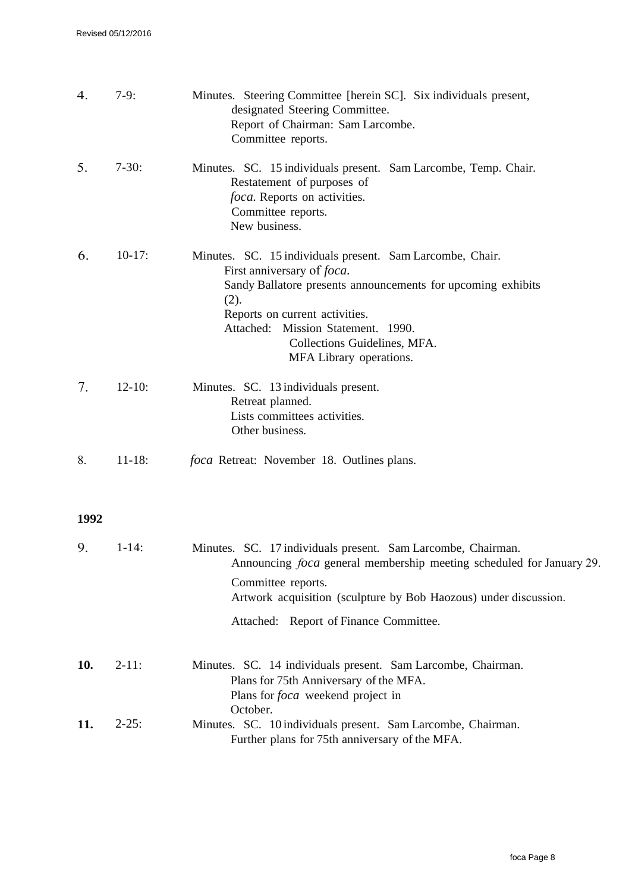| 4.   | $7-9:$     | Minutes. Steering Committee [herein SC]. Six individuals present,<br>designated Steering Committee.<br>Report of Chairman: Sam Larcombe.<br>Committee reports.                                                                                                                                             |
|------|------------|------------------------------------------------------------------------------------------------------------------------------------------------------------------------------------------------------------------------------------------------------------------------------------------------------------|
| 5.   | $7-30:$    | Minutes. SC. 15 individuals present. Sam Larcombe, Temp. Chair.<br>Restatement of purposes of<br>foca. Reports on activities.<br>Committee reports.<br>New business.                                                                                                                                       |
| 6.   | $10-17:$   | Minutes. SC. 15 individuals present. Sam Larcombe, Chair.<br>First anniversary of <i>foca</i> .<br>Sandy Ballatore presents announcements for upcoming exhibits<br>(2).<br>Reports on current activities.<br>Attached: Mission Statement. 1990.<br>Collections Guidelines, MFA.<br>MFA Library operations. |
| 7.   | $12 - 10:$ | Minutes. SC. 13 individuals present.<br>Retreat planned.<br>Lists committees activities.<br>Other business.                                                                                                                                                                                                |
| 8.   | $11 - 18:$ | <i>foca</i> Retreat: November 18. Outlines plans.                                                                                                                                                                                                                                                          |
| 1992 |            |                                                                                                                                                                                                                                                                                                            |
| 9.   | $1 - 14$ : | Minutes. SC. 17 individuals present. Sam Larcombe, Chairman.<br>Announcing <i>foca</i> general membership meeting scheduled for January 29.<br>Committee reports.<br>Artwork acquisition (sculpture by Bob Haozous) under discussion.<br>Attached: Report of Finance Committee.                            |
| 10.  | $2-11:$    | Minutes. SC. 14 individuals present. Sam Larcombe, Chairman.<br>Plans for 75th Anniversary of the MFA.<br>Plans for <i>foca</i> weekend project in<br>October.                                                                                                                                             |
| 11.  | $2 - 25:$  | Minutes. SC. 10 individuals present. Sam Larcombe, Chairman.<br>Further plans for 75th anniversary of the MFA.                                                                                                                                                                                             |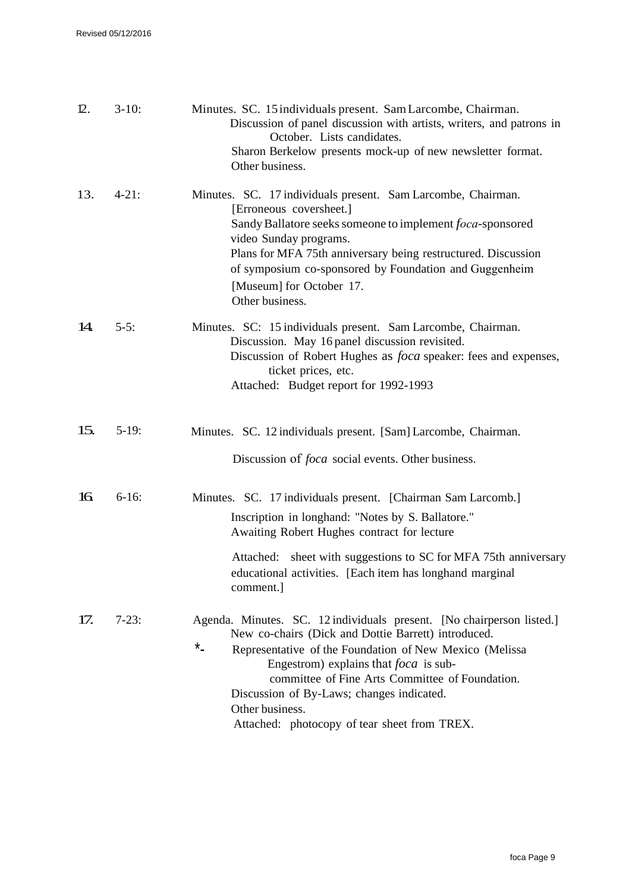| 12. | $3-10:$    | Minutes. SC. 15 individuals present. Sam Larcombe, Chairman.<br>Discussion of panel discussion with artists, writers, and patrons in<br>October. Lists candidates.<br>Sharon Berkelow presents mock-up of new newsletter format.<br>Other business.                                                                                                                                                               |
|-----|------------|-------------------------------------------------------------------------------------------------------------------------------------------------------------------------------------------------------------------------------------------------------------------------------------------------------------------------------------------------------------------------------------------------------------------|
| 13. | $4 - 21$ : | Minutes. SC. 17 individuals present. Sam Larcombe, Chairman.<br>[Erroneous coversheet.]<br>Sandy Ballatore seeks someone to implement foca-sponsored<br>video Sunday programs.<br>Plans for MFA 75th anniversary being restructured. Discussion<br>of symposium co-sponsored by Foundation and Guggenheim<br>[Museum] for October 17.<br>Other business.                                                          |
| 14. | $5-5:$     | Minutes. SC: 15 individuals present. Sam Larcombe, Chairman.<br>Discussion. May 16 panel discussion revisited.<br>Discussion of Robert Hughes as <i>foca</i> speaker: fees and expenses,<br>ticket prices, etc.<br>Attached: Budget report for 1992-1993                                                                                                                                                          |
| 15. | $5-19:$    | Minutes. SC. 12 individuals present. [Sam] Larcombe, Chairman.<br>Discussion of <i>foca</i> social events. Other business.                                                                                                                                                                                                                                                                                        |
| 16  | $6-16$ :   | Minutes. SC. 17 individuals present. [Chairman Sam Larcomb.]<br>Inscription in longhand: "Notes by S. Ballatore."<br>Awaiting Robert Hughes contract for lecture<br>sheet with suggestions to SC for MFA 75th anniversary<br>Attached:<br>educational activities. [Each item has longhand marginal<br>comment.]                                                                                                   |
| 17. | $7-23:$    | Agenda. Minutes. SC. 12 individuals present. [No chairperson listed.]<br>New co-chairs (Dick and Dottie Barrett) introduced.<br>$*$<br>Representative of the Foundation of New Mexico (Melissa<br>Engestrom) explains that <i>foca</i> is sub-<br>committee of Fine Arts Committee of Foundation.<br>Discussion of By-Laws; changes indicated.<br>Other business.<br>Attached: photocopy of tear sheet from TREX. |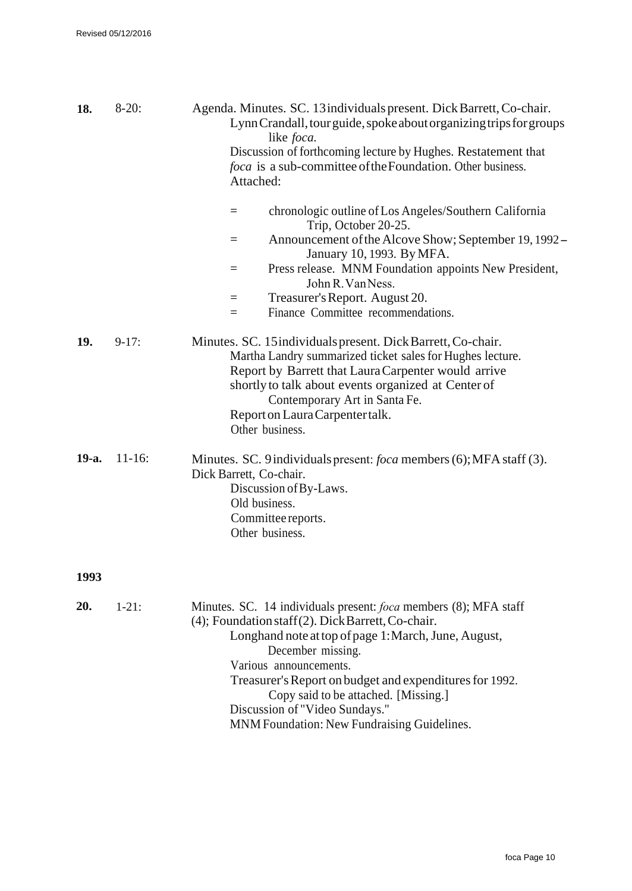| 18.   | $8-20:$    | Agenda. Minutes. SC. 13 individuals present. Dick Barrett, Co-chair.<br>Lynn Crandall, tour guide, spoke about organizing trips for groups<br>like <i>foca</i> .<br>Discussion of forthcoming lecture by Hughes. Restatement that<br>foca is a sub-committee of the Foundation. Other business.<br>Attached:                                                             |
|-------|------------|--------------------------------------------------------------------------------------------------------------------------------------------------------------------------------------------------------------------------------------------------------------------------------------------------------------------------------------------------------------------------|
|       |            | chronologic outline of Los Angeles/Southern California<br>$=$<br>Trip, October 20-25.                                                                                                                                                                                                                                                                                    |
|       |            | Announcement of the Alcove Show; September 19, 1992–<br>=<br>January 10, 1993. By MFA.                                                                                                                                                                                                                                                                                   |
|       |            | Press release. MNM Foundation appoints New President,<br>$=$<br>John R. Van Ness.                                                                                                                                                                                                                                                                                        |
|       |            | Treasurer's Report. August 20.<br>$=$                                                                                                                                                                                                                                                                                                                                    |
|       |            | Finance Committee recommendations.<br>=                                                                                                                                                                                                                                                                                                                                  |
| 19.   | $9-17:$    | Minutes. SC. 15 individuals present. Dick Barrett, Co-chair.<br>Martha Landry summarized ticket sales for Hughes lecture.<br>Report by Barrett that Laura Carpenter would arrive<br>shortly to talk about events organized at Center of<br>Contemporary Art in Santa Fe.<br>Report on Laura Carpenter talk.<br>Other business.                                           |
| 19-a. | $11 - 16:$ | Minutes. SC. 9 individuals present: <i>foca</i> members (6); MFA staff (3).<br>Dick Barrett, Co-chair.<br>Discussion of By-Laws.<br>Old business.<br>Committee reports.<br>Other business.                                                                                                                                                                               |
| 1993  |            |                                                                                                                                                                                                                                                                                                                                                                          |
| 20.   | $1-21:$    | Minutes. SC. 14 individuals present: <i>foca</i> members (8); MFA staff<br>(4); Foundation staff(2). Dick Barrett, Co-chair.<br>Longhand note at top of page 1: March, June, August,<br>December missing.<br>Various announcements.<br>Treasurer's Report on budget and expenditures for 1992.<br>Copy said to be attached. [Missing.]<br>Discussion of "Video Sundays." |

MNM Foundation: New Fundraising Guidelines.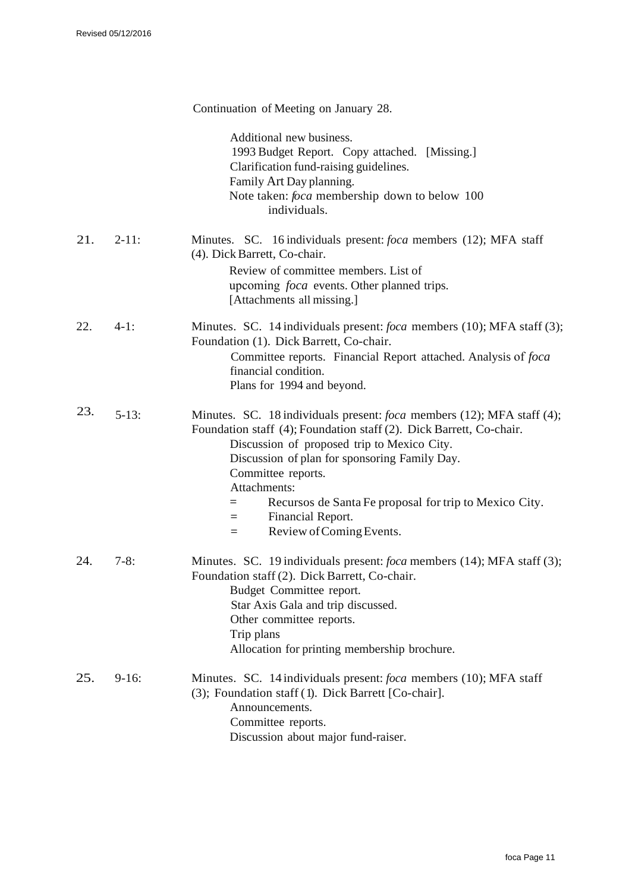|     |            | Continuation of Meeting on January 28.                                                                                                                                                                                                                                                                                                                                                                                   |
|-----|------------|--------------------------------------------------------------------------------------------------------------------------------------------------------------------------------------------------------------------------------------------------------------------------------------------------------------------------------------------------------------------------------------------------------------------------|
|     |            | Additional new business.<br>1993 Budget Report. Copy attached. [Missing.]<br>Clarification fund-raising guidelines.<br>Family Art Day planning.<br>Note taken: <i>foca</i> membership down to below 100<br>individuals.                                                                                                                                                                                                  |
| 21. | $2 - 11$ : | Minutes. SC. 16 individuals present: <i>foca</i> members (12); MFA staff<br>(4). Dick Barrett, Co-chair.<br>Review of committee members. List of<br>upcoming <i>foca</i> events. Other planned trips.<br>[Attachments all missing.]                                                                                                                                                                                      |
| 22. | $4-1:$     | Minutes. SC. 14 individuals present: <i>foca</i> members (10); MFA staff (3);<br>Foundation (1). Dick Barrett, Co-chair.<br>Committee reports. Financial Report attached. Analysis of foca<br>financial condition.<br>Plans for 1994 and beyond.                                                                                                                                                                         |
| 23. | $5-13$ :   | Minutes. SC. 18 individuals present: <i>foca</i> members (12); MFA staff (4);<br>Foundation staff (4); Foundation staff (2). Dick Barrett, Co-chair.<br>Discussion of proposed trip to Mexico City.<br>Discussion of plan for sponsoring Family Day.<br>Committee reports.<br>Attachments:<br>Recursos de Santa Fe proposal for trip to Mexico City.<br>$=$<br>Financial Report.<br>$=$<br>Review of Coming Events.<br>= |
| 24. | $7-8:$     | Minutes. SC. 19 individuals present: <i>foca</i> members (14); MFA staff (3);<br>Foundation staff (2). Dick Barrett, Co-chair.<br>Budget Committee report.<br>Star Axis Gala and trip discussed.<br>Other committee reports.<br>Trip plans<br>Allocation for printing membership brochure.                                                                                                                               |
| 25. | $9-16:$    | Minutes. SC. 14 individuals present: foca members (10); MFA staff<br>(3); Foundation staff (1). Dick Barrett [Co-chair].<br>Announcements.<br>Committee reports.<br>Discussion about major fund-raiser.                                                                                                                                                                                                                  |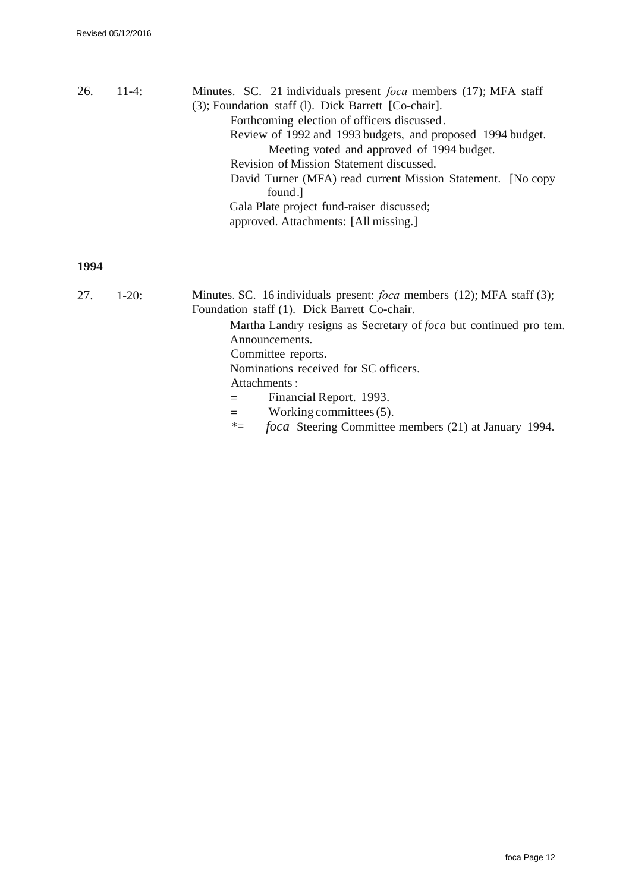| 26. | $11-4:$ | Minutes. SC. 21 individuals present <i>foca</i> members (17); MFA staff |
|-----|---------|-------------------------------------------------------------------------|
|     |         | (3); Foundation staff (1). Dick Barrett [Co-chair].                     |
|     |         | Forthcoming election of officers discussed.                             |
|     |         | Review of 1992 and 1993 budgets, and proposed 1994 budget.              |
|     |         | Meeting voted and approved of 1994 budget.                              |
|     |         | Revision of Mission Statement discussed.                                |
|     |         | David Turner (MFA) read current Mission Statement. [No copy<br>found.   |
|     |         | Gala Plate project fund-raiser discussed;                               |
|     |         | approved. Attachments: [All missing.]                                   |

| 27. | $1-20$ : | Minutes. SC. 16 individuals present: <i>foca</i> members (12); MFA staff (3); |
|-----|----------|-------------------------------------------------------------------------------|
|     |          | Foundation staff (1). Dick Barrett Co-chair.                                  |
|     |          | Martha Landry resigns as Secretary of foca but continued pro tem.             |
|     |          | Announcements.                                                                |
|     |          | Committee reports.                                                            |
|     |          | Nominations received for SC officers.                                         |
|     |          | Attachments:                                                                  |
|     |          | Financial Report. 1993.<br>$=$                                                |
|     |          | Working committees $(5)$ .<br>$=$                                             |
|     |          | <i>foca</i> Steering Committee members (21) at January 1994.<br>$*_{=}$       |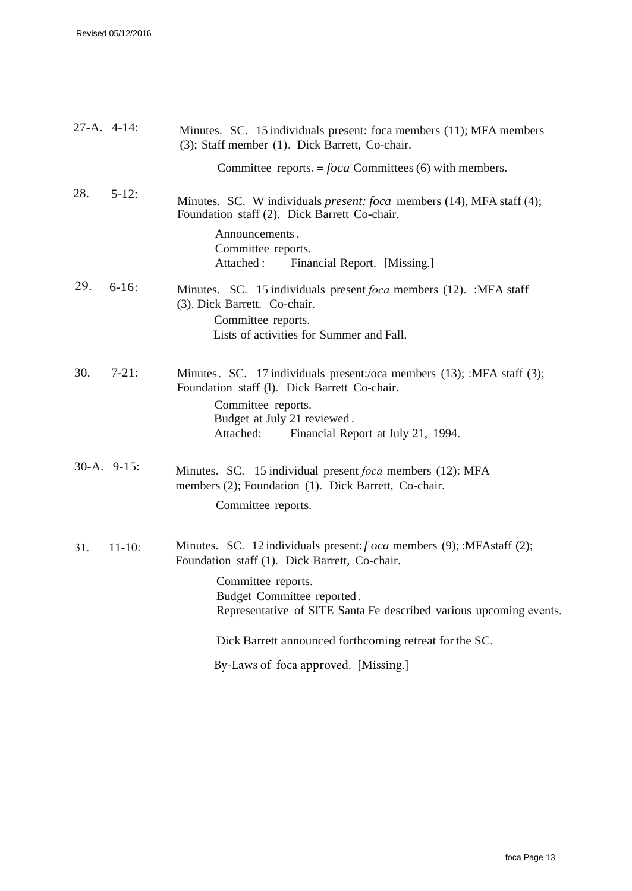| 27-A. 4-14: |               | Minutes. SC. 15 individuals present: foca members (11); MFA members<br>(3); Staff member (1). Dick Barrett, Co-chair.                                                                                                                                    |
|-------------|---------------|----------------------------------------------------------------------------------------------------------------------------------------------------------------------------------------------------------------------------------------------------------|
|             |               | Committee reports. = $foca$ Committees (6) with members.                                                                                                                                                                                                 |
| 28.         | $5 - 12$ :    | Minutes. SC. W individuals <i>present: foca</i> members (14), MFA staff (4);<br>Foundation staff (2). Dick Barrett Co-chair.                                                                                                                             |
|             |               | Announcements.<br>Committee reports.<br>Attached:<br>Financial Report. [Missing.]                                                                                                                                                                        |
| 29.         | $6-16$ :      | Minutes. SC. 15 individuals present <i>foca</i> members (12). :MFA staff<br>(3). Dick Barrett. Co-chair.                                                                                                                                                 |
|             |               | Committee reports.<br>Lists of activities for Summer and Fall.                                                                                                                                                                                           |
| 30.         | $7 - 21:$     | Minutes. SC. 17 individuals present:/oca members (13); :MFA staff (3);<br>Foundation staff (1). Dick Barrett Co-chair.<br>Committee reports.<br>Budget at July 21 reviewed.<br>Attached:<br>Financial Report at July 21, 1994.                           |
|             | $30-A.9-15$ : | Minutes. SC. 15 individual present <i>foca</i> members (12): MFA<br>members (2); Foundation (1). Dick Barrett, Co-chair.<br>Committee reports.                                                                                                           |
| 31.         | $11 - 10:$    | Minutes. SC. 12 individuals present: <i>f</i> oca members (9); :MFAstaff (2);<br>Foundation staff (1). Dick Barrett, Co-chair.<br>Committee reports.<br>Budget Committee reported.<br>Representative of SITE Santa Fe described various upcoming events. |
|             |               | Dick Barrett announced forthcoming retreat for the SC.                                                                                                                                                                                                   |
|             |               | By-Laws of foca approved. [Missing.]                                                                                                                                                                                                                     |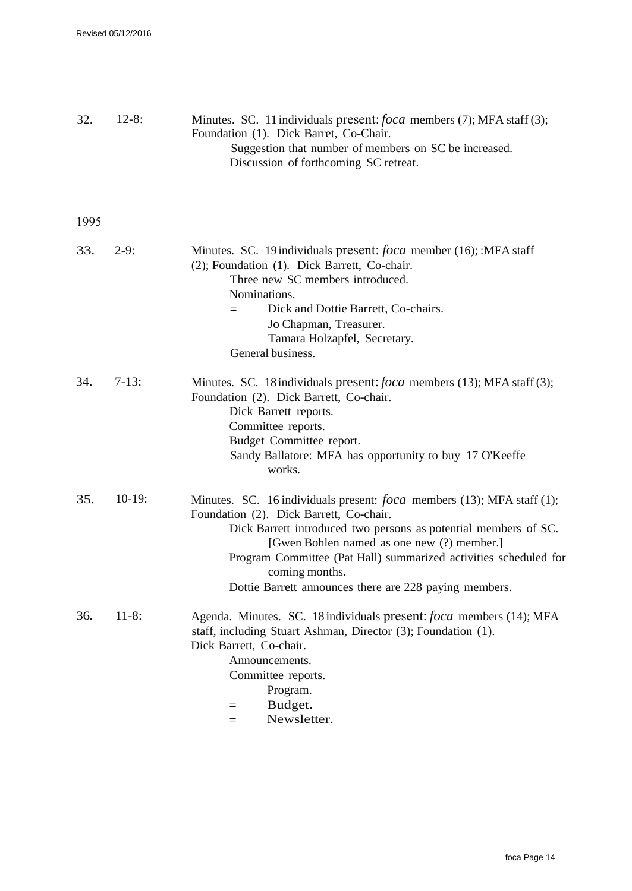| 32.  | $12-8:$  | Minutes. SC. 11 individuals present: <i>foca</i> members (7); MFA staff (3);<br>Foundation (1). Dick Barret, Co-Chair.<br>Suggestion that number of members on SC be increased.<br>Discussion of forthcoming SC retreat.                                                                                                                                                                  |
|------|----------|-------------------------------------------------------------------------------------------------------------------------------------------------------------------------------------------------------------------------------------------------------------------------------------------------------------------------------------------------------------------------------------------|
| 1995 |          |                                                                                                                                                                                                                                                                                                                                                                                           |
| 33.  | $2-9:$   | Minutes. SC. 19 individuals present: <i>foca</i> member (16); :MFA staff<br>(2); Foundation (1). Dick Barrett, Co-chair.<br>Three new SC members introduced.<br>Nominations.<br>Dick and Dottie Barrett, Co-chairs.<br>=<br>Jo Chapman, Treasurer.<br>Tamara Holzapfel, Secretary.<br>General business.                                                                                   |
| 34.  | $7-13:$  | Minutes. SC. 18 individuals present: <i>foca</i> members (13); MFA staff (3);<br>Foundation (2). Dick Barrett, Co-chair.<br>Dick Barrett reports.<br>Committee reports.<br>Budget Committee report.<br>Sandy Ballatore: MFA has opportunity to buy 17 O'Keeffe<br>works.                                                                                                                  |
| 35.  | $10-19:$ | Minutes. SC. 16 individuals present: <i>foca</i> members (13); MFA staff (1);<br>Foundation (2). Dick Barrett, Co-chair.<br>Dick Barrett introduced two persons as potential members of SC.<br>[Gwen Bohlen named as one new (?) member.]<br>Program Committee (Pat Hall) summarized activities scheduled for<br>coming months.<br>Dottie Barrett announces there are 228 paying members. |
| 36.  | $11-8:$  | Agenda. Minutes. SC. 18 individuals present: foca members (14); MFA<br>staff, including Stuart Ashman, Director (3); Foundation (1).<br>Dick Barrett, Co-chair.<br>Announcements.<br>Committee reports.<br>Program.<br>Budget.<br>$=$<br>Newsletter.<br>$=$                                                                                                                               |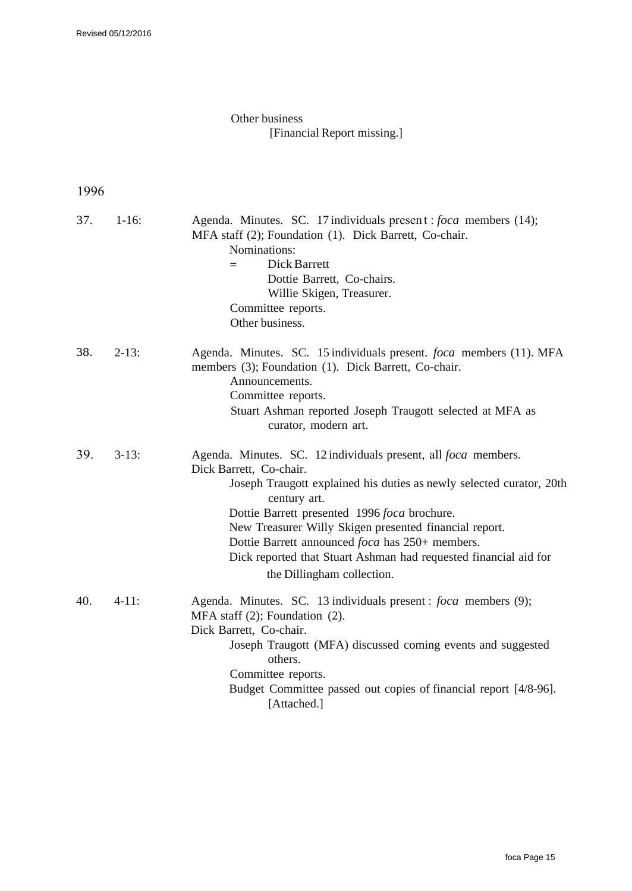### Other business [Financial Report missing.]

| 37. | $1 - 16$ : | Agenda. Minutes. SC. 17 individuals present : foca members (14);<br>MFA staff (2); Foundation (1). Dick Barrett, Co-chair.<br>Nominations:<br>Dick Barrett<br>$=$<br>Dottie Barrett, Co-chairs.<br>Willie Skigen, Treasurer.<br>Committee reports.<br>Other business.                                                                                                                                                                                   |
|-----|------------|---------------------------------------------------------------------------------------------------------------------------------------------------------------------------------------------------------------------------------------------------------------------------------------------------------------------------------------------------------------------------------------------------------------------------------------------------------|
| 38. | $2-13:$    | Agenda. Minutes. SC. 15 individuals present. foca members (11). MFA<br>members (3); Foundation (1). Dick Barrett, Co-chair.<br>Announcements.<br>Committee reports.<br>Stuart Ashman reported Joseph Traugott selected at MFA as<br>curator, modern art.                                                                                                                                                                                                |
| 39. | $3-13$ :   | Agenda. Minutes. SC. 12 individuals present, all <i>foca</i> members.<br>Dick Barrett, Co-chair.<br>Joseph Traugott explained his duties as newly selected curator, 20th<br>century art.<br>Dottie Barrett presented 1996 foca brochure.<br>New Treasurer Willy Skigen presented financial report.<br>Dottie Barrett announced foca has 250+ members.<br>Dick reported that Stuart Ashman had requested financial aid for<br>the Dillingham collection. |
| 40. | $4-11:$    | Agenda. Minutes. SC. 13 individuals present : foca members (9);<br>MFA staff $(2)$ ; Foundation $(2)$ .<br>Dick Barrett, Co-chair.<br>Joseph Traugott (MFA) discussed coming events and suggested<br>others.<br>Committee reports.<br>Budget Committee passed out copies of financial report [4/8-96].<br>[Attached.]                                                                                                                                   |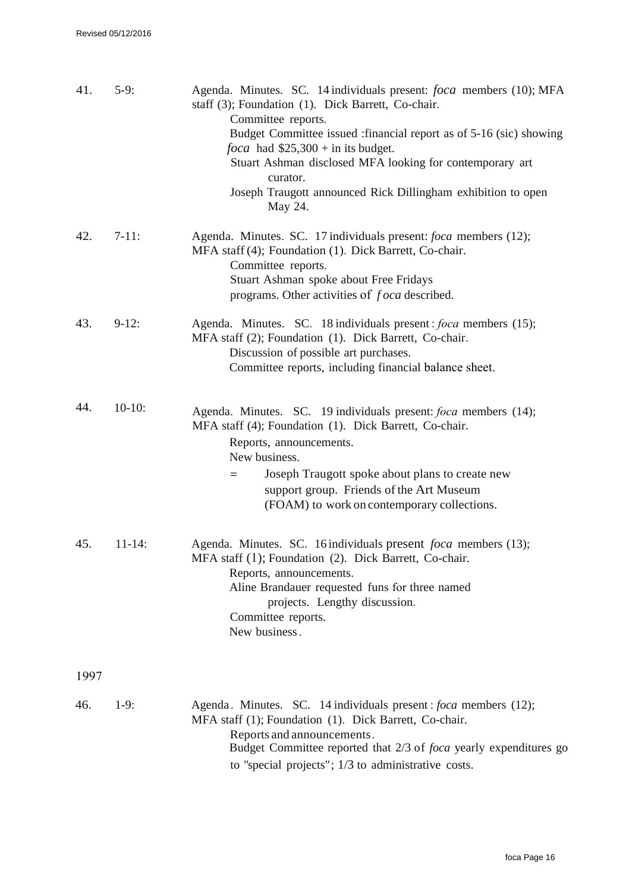| 41.  | $5-9:$      | Agenda. Minutes. SC. 14 individuals present: <i>foca</i> members (10); MFA<br>staff (3); Foundation (1). Dick Barrett, Co-chair.<br>Committee reports.<br>Budget Committee issued : financial report as of 5-16 (sic) showing<br><i>foca</i> had $$25,300 + in$ its budget.<br>Stuart Ashman disclosed MFA looking for contemporary art<br>curator.<br>Joseph Traugott announced Rick Dillingham exhibition to open<br>May 24. |
|------|-------------|--------------------------------------------------------------------------------------------------------------------------------------------------------------------------------------------------------------------------------------------------------------------------------------------------------------------------------------------------------------------------------------------------------------------------------|
| 42.  | $7-11:$     | Agenda. Minutes. SC. 17 individuals present: <i>foca</i> members (12);<br>MFA staff (4); Foundation (1). Dick Barrett, Co-chair.<br>Committee reports.<br>Stuart Ashman spoke about Free Fridays<br>programs. Other activities of <i>foca</i> described.                                                                                                                                                                       |
| 43.  | $9-12:$     | Agenda. Minutes. SC. 18 individuals present: <i>foca</i> members (15);<br>MFA staff (2); Foundation (1). Dick Barrett, Co-chair.<br>Discussion of possible art purchases.<br>Committee reports, including financial balance sheet.                                                                                                                                                                                             |
| 44.  | $10-10$ :   | Agenda. Minutes. SC. 19 individuals present: <i>foca</i> members (14);<br>MFA staff (4); Foundation (1). Dick Barrett, Co-chair.<br>Reports, announcements.<br>New business.<br>Joseph Traugott spoke about plans to create new<br>$=$<br>support group. Friends of the Art Museum<br>(FOAM) to work on contemporary collections.                                                                                              |
| 45.  | $11 - 14$ : | Agenda. Minutes. SC. 16 individuals present <i>foca</i> members (13);<br>MFA staff (1); Foundation (2). Dick Barrett, Co-chair.<br>Reports, announcements.<br>Aline Brandauer requested funs for three named<br>projects. Lengthy discussion.<br>Committee reports.<br>New business.                                                                                                                                           |
| 1997 |             |                                                                                                                                                                                                                                                                                                                                                                                                                                |
| 46.  | $1-9:$      | Agenda. Minutes. SC. 14 individuals present: <i>foca</i> members (12);<br>MFA staff (1); Foundation (1). Dick Barrett, Co-chair.<br>Reports and announcements.<br>Budget Committee reported that 2/3 of foca yearly expenditures go<br>to "special projects"; $1/3$ to administrative costs.                                                                                                                                   |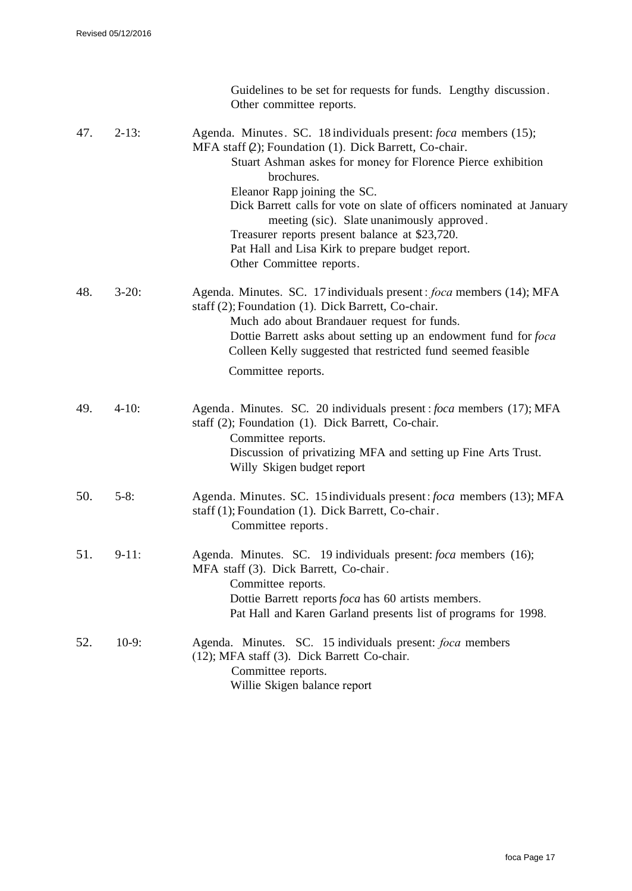|     |          | Guidelines to be set for requests for funds. Lengthy discussion.<br>Other committee reports.                                                                                                                                                                                                                                                                                                                                                                                                            |
|-----|----------|---------------------------------------------------------------------------------------------------------------------------------------------------------------------------------------------------------------------------------------------------------------------------------------------------------------------------------------------------------------------------------------------------------------------------------------------------------------------------------------------------------|
| 47. | $2-13:$  | Agenda. Minutes. SC. 18 individuals present: <i>foca</i> members (15);<br>MFA staff (2); Foundation (1). Dick Barrett, Co-chair.<br>Stuart Ashman askes for money for Florence Pierce exhibition<br>brochures.<br>Eleanor Rapp joining the SC.<br>Dick Barrett calls for vote on slate of officers nominated at January<br>meeting (sic). Slate unanimously approved.<br>Treasurer reports present balance at \$23,720.<br>Pat Hall and Lisa Kirk to prepare budget report.<br>Other Committee reports. |
| 48. | $3-20$ : | Agenda. Minutes. SC. 17 individuals present: foca members (14); MFA<br>staff (2); Foundation (1). Dick Barrett, Co-chair.<br>Much ado about Brandauer request for funds.<br>Dottie Barrett asks about setting up an endowment fund for foca<br>Colleen Kelly suggested that restricted fund seemed feasible<br>Committee reports.                                                                                                                                                                       |
| 49. | $4-10:$  | Agenda. Minutes. SC. 20 individuals present: <i>foca</i> members (17); MFA<br>staff (2); Foundation (1). Dick Barrett, Co-chair.<br>Committee reports.<br>Discussion of privatizing MFA and setting up Fine Arts Trust.<br>Willy Skigen budget report                                                                                                                                                                                                                                                   |
| 50. | $5-8:$   | Agenda. Minutes. SC. 15 individuals present: foca members (13); MFA<br>staff (1); Foundation (1). Dick Barrett, Co-chair.<br>Committee reports.                                                                                                                                                                                                                                                                                                                                                         |
| 51. | $9-11:$  | Agenda. Minutes. SC. 19 individuals present: foca members (16);<br>MFA staff (3). Dick Barrett, Co-chair.<br>Committee reports.<br>Dottie Barrett reports foca has 60 artists members.<br>Pat Hall and Karen Garland presents list of programs for 1998.                                                                                                                                                                                                                                                |
| 52. | $10-9:$  | Agenda. Minutes. SC. 15 individuals present: foca members<br>(12); MFA staff (3). Dick Barrett Co-chair.<br>Committee reports.<br>Willie Skigen balance report                                                                                                                                                                                                                                                                                                                                          |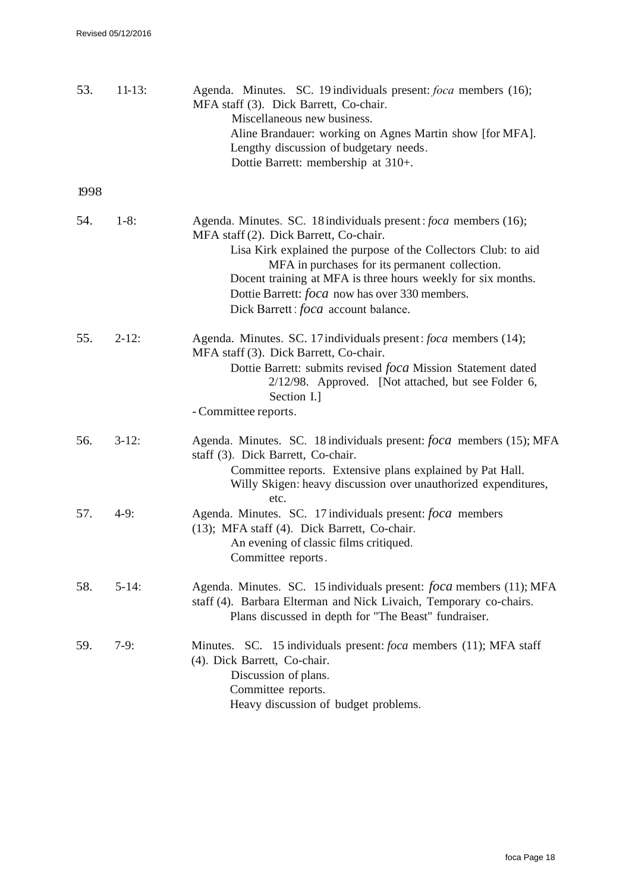| 53.  | $11-13:$   | Agenda. Minutes. SC. 19 individuals present: foca members (16);<br>MFA staff (3). Dick Barrett, Co-chair.<br>Miscellaneous new business.<br>Aline Brandauer: working on Agnes Martin show [for MFA].<br>Lengthy discussion of budgetary needs.<br>Dottie Barrett: membership at 310+.                                                                                                                |
|------|------------|------------------------------------------------------------------------------------------------------------------------------------------------------------------------------------------------------------------------------------------------------------------------------------------------------------------------------------------------------------------------------------------------------|
| 1998 |            |                                                                                                                                                                                                                                                                                                                                                                                                      |
| 54.  | $1-8:$     | Agenda. Minutes. SC. 18 individuals present: <i>foca</i> members (16);<br>MFA staff (2). Dick Barrett, Co-chair.<br>Lisa Kirk explained the purpose of the Collectors Club: to aid<br>MFA in purchases for its permanent collection.<br>Docent training at MFA is three hours weekly for six months.<br>Dottie Barrett: <i>foca</i> now has over 330 members.<br>Dick Barrett: foca account balance. |
| 55.  | $2 - 12$ : | Agenda. Minutes. SC. 17 individuals present: foca members (14);<br>MFA staff (3). Dick Barrett, Co-chair.<br>Dottie Barrett: submits revised foca Mission Statement dated<br>$2/12/98$ . Approved. [Not attached, but see Folder 6,<br>Section I.]<br>- Committee reports.                                                                                                                           |
| 56.  | $3-12:$    | Agenda. Minutes. SC. 18 individuals present: foca members (15); MFA<br>staff (3). Dick Barrett, Co-chair.<br>Committee reports. Extensive plans explained by Pat Hall.<br>Willy Skigen: heavy discussion over unauthorized expenditures,                                                                                                                                                             |
| 57.  | $4-9:$     | etc.<br>Agenda. Minutes. SC. 17 individuals present: foca members<br>(13); MFA staff (4). Dick Barrett, Co-chair.<br>An evening of classic films critiqued.<br>Committee reports.                                                                                                                                                                                                                    |
| 58.  | $5-14:$    | Agenda. Minutes. SC. 15 individuals present: <i>foca</i> members (11); MFA<br>staff (4). Barbara Elterman and Nick Livaich, Temporary co-chairs.<br>Plans discussed in depth for "The Beast" fundraiser.                                                                                                                                                                                             |
| 59.  | $7-9:$     | Minutes. SC. 15 individuals present: <i>foca</i> members (11); MFA staff<br>(4). Dick Barrett, Co-chair.<br>Discussion of plans.<br>Committee reports.<br>Heavy discussion of budget problems.                                                                                                                                                                                                       |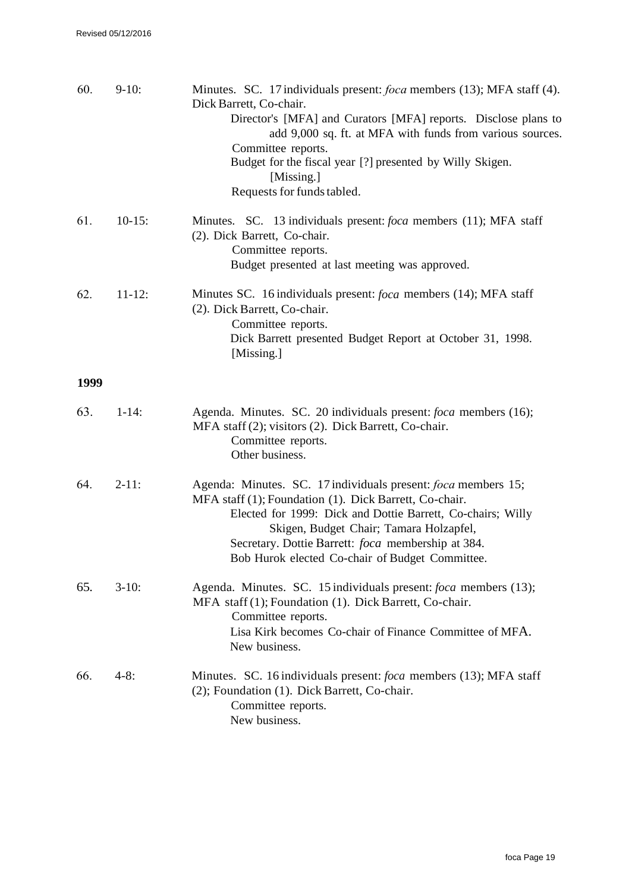| 60.  | $9-10:$     | Minutes. SC. 17 individuals present: <i>foca</i> members (13); MFA staff (4).<br>Dick Barrett, Co-chair.<br>Director's [MFA] and Curators [MFA] reports. Disclose plans to<br>add 9,000 sq. ft. at MFA with funds from various sources.<br>Committee reports.<br>Budget for the fiscal year [?] presented by Willy Skigen.<br>[Missing.]<br>Requests for funds tabled. |
|------|-------------|------------------------------------------------------------------------------------------------------------------------------------------------------------------------------------------------------------------------------------------------------------------------------------------------------------------------------------------------------------------------|
| 61.  | $10-15$ :   | Minutes. SC. 13 individuals present: <i>foca</i> members (11); MFA staff<br>(2). Dick Barrett, Co-chair.<br>Committee reports.<br>Budget presented at last meeting was approved.                                                                                                                                                                                       |
| 62.  | $11 - 12$ : | Minutes SC. 16 individuals present: <i>foca</i> members (14); MFA staff<br>(2). Dick Barrett, Co-chair.<br>Committee reports.<br>Dick Barrett presented Budget Report at October 31, 1998.<br>[Missing.]                                                                                                                                                               |
| 1999 |             |                                                                                                                                                                                                                                                                                                                                                                        |
| 63.  | $1 - 14$ :  | Agenda. Minutes. SC. 20 individuals present: foca members (16);<br>MFA staff (2); visitors (2). Dick Barrett, Co-chair.<br>Committee reports.<br>Other business.                                                                                                                                                                                                       |
| 64.  | $2-11:$     | Agenda: Minutes. SC. 17 individuals present: <i>foca</i> members 15;<br>MFA staff (1); Foundation (1). Dick Barrett, Co-chair.<br>Elected for 1999: Dick and Dottie Barrett, Co-chairs; Willy<br>Skigen, Budget Chair; Tamara Holzapfel,<br>Secretary. Dottie Barrett: foca membership at 384.<br>Bob Hurok elected Co-chair of Budget Committee.                      |
| 65.  | $3-10$ :    | Agenda. Minutes. SC. 15 individuals present: <i>foca</i> members (13);<br>MFA staff (1); Foundation (1). Dick Barrett, Co-chair.<br>Committee reports.<br>Lisa Kirk becomes Co-chair of Finance Committee of MFA.<br>New business.                                                                                                                                     |
| 66.  | $4-8:$      | Minutes. SC. 16 individuals present: foca members (13); MFA staff<br>(2); Foundation (1). Dick Barrett, Co-chair.<br>Committee reports.<br>New business.                                                                                                                                                                                                               |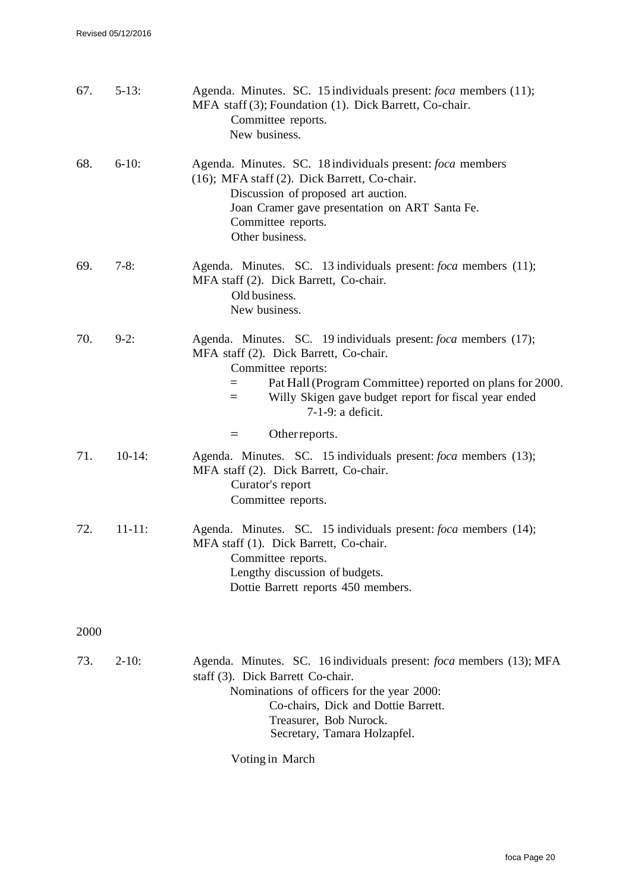| 67.  | $5-13:$     | Agenda. Minutes. SC. 15 individuals present: foca members (11);<br>MFA staff (3); Foundation (1). Dick Barrett, Co-chair.<br>Committee reports.<br>New business.                                                                                                                        |
|------|-------------|-----------------------------------------------------------------------------------------------------------------------------------------------------------------------------------------------------------------------------------------------------------------------------------------|
| 68.  | $6-10$ :    | Agenda. Minutes. SC. 18 individuals present: foca members<br>(16); MFA staff (2). Dick Barrett, Co-chair.<br>Discussion of proposed art auction.<br>Joan Cramer gave presentation on ART Santa Fe.<br>Committee reports.<br>Other business.                                             |
| 69.  | $7-8:$      | Agenda. Minutes. SC. 13 individuals present: foca members (11);<br>MFA staff (2). Dick Barrett, Co-chair.<br>Old business.<br>New business.                                                                                                                                             |
| 70.  | $9-2:$      | Agenda. Minutes. SC. 19 individuals present: foca members (17);<br>MFA staff (2). Dick Barrett, Co-chair.<br>Committee reports:<br>Pat Hall (Program Committee) reported on plans for 2000.<br>$=$<br>Willy Skigen gave budget report for fiscal year ended<br>$=$<br>7-1-9: a deficit. |
|      |             | Other reports.<br>$=$                                                                                                                                                                                                                                                                   |
| 71.  | $10-14$ :   | Agenda. Minutes. SC. 15 individuals present: foca members (13);<br>MFA staff (2). Dick Barrett, Co-chair.<br>Curator's report<br>Committee reports.                                                                                                                                     |
| 72.  | $11 - 11$ : | Agenda. Minutes. SC. 15 individuals present: foca members (14);<br>MFA staff (1). Dick Barrett, Co-chair.<br>Committee reports.<br>Lengthy discussion of budgets.<br>Dottie Barrett reports 450 members.                                                                                |
| 2000 |             |                                                                                                                                                                                                                                                                                         |
| 73.  | $2-10:$     | Agenda. Minutes. SC. 16 individuals present: <i>foca</i> members (13); MFA<br>staff (3). Dick Barrett Co-chair.<br>Nominations of officers for the year 2000:<br>Co-chairs, Dick and Dottie Barrett.<br>Treasurer, Bob Nurock.<br>Secretary, Tamara Holzapfel.                          |
|      |             | Voting in March                                                                                                                                                                                                                                                                         |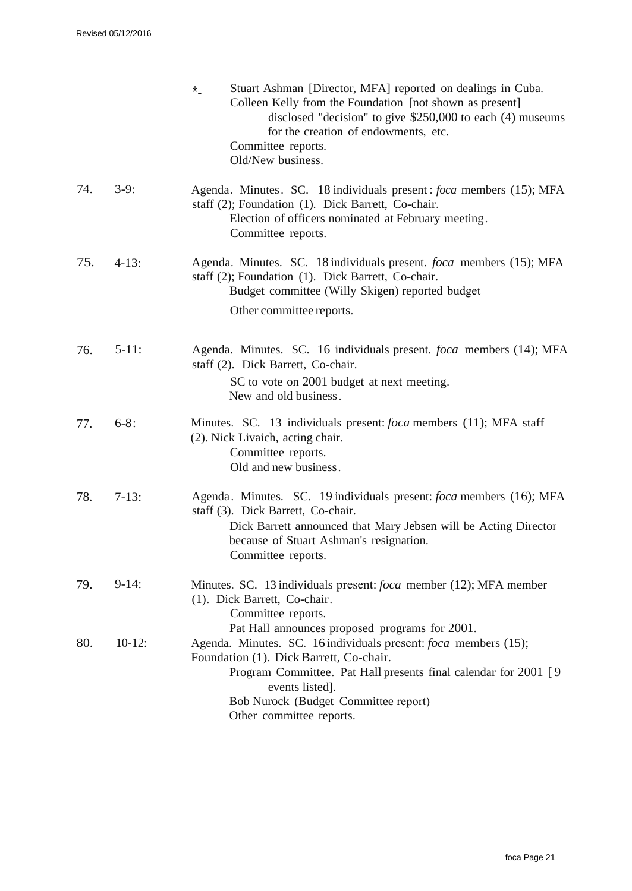|     |           | Stuart Ashman [Director, MFA] reported on dealings in Cuba.<br>$*$<br>Colleen Kelly from the Foundation [not shown as present]<br>disclosed "decision" to give $$250,000$ to each (4) museums<br>for the creation of endowments, etc.<br>Committee reports.<br>Old/New business. |
|-----|-----------|----------------------------------------------------------------------------------------------------------------------------------------------------------------------------------------------------------------------------------------------------------------------------------|
| 74. | $3-9:$    | Agenda. Minutes. SC. 18 individuals present: <i>foca</i> members (15); MFA<br>staff (2); Foundation (1). Dick Barrett, Co-chair.<br>Election of officers nominated at February meeting.<br>Committee reports.                                                                    |
| 75. | $4-13:$   | Agenda. Minutes. SC. 18 individuals present. <i>foca</i> members (15); MFA<br>staff (2); Foundation (1). Dick Barrett, Co-chair.<br>Budget committee (Willy Skigen) reported budget<br>Other committee reports.                                                                  |
| 76. | $5-11:$   | Agenda. Minutes. SC. 16 individuals present. foca members (14); MFA<br>staff (2). Dick Barrett, Co-chair.<br>SC to vote on 2001 budget at next meeting.<br>New and old business.                                                                                                 |
| 77. | $6 - 8:$  | Minutes. SC. 13 individuals present: <i>foca</i> members (11); MFA staff<br>(2). Nick Livaich, acting chair.<br>Committee reports.<br>Old and new business.                                                                                                                      |
| 78. | $7-13:$   | Agenda. Minutes. SC. 19 individuals present: <i>foca</i> members (16); MFA<br>staff (3). Dick Barrett, Co-chair.<br>Dick Barrett announced that Mary Jebsen will be Acting Director<br>because of Stuart Ashman's resignation.<br>Committee reports.                             |
| 79. | $9-14:$   | Minutes. SC. 13 individuals present: foca member (12); MFA member<br>(1). Dick Barrett, Co-chair.<br>Committee reports.<br>Pat Hall announces proposed programs for 2001.                                                                                                        |
| 80. | $10-12$ : | Agenda. Minutes. SC. 16 individuals present: <i>foca</i> members (15);<br>Foundation (1). Dick Barrett, Co-chair.<br>Program Committee. Pat Hall presents final calendar for 2001 [9]<br>events listed].<br>Bob Nurock (Budget Committee report)<br>Other committee reports.     |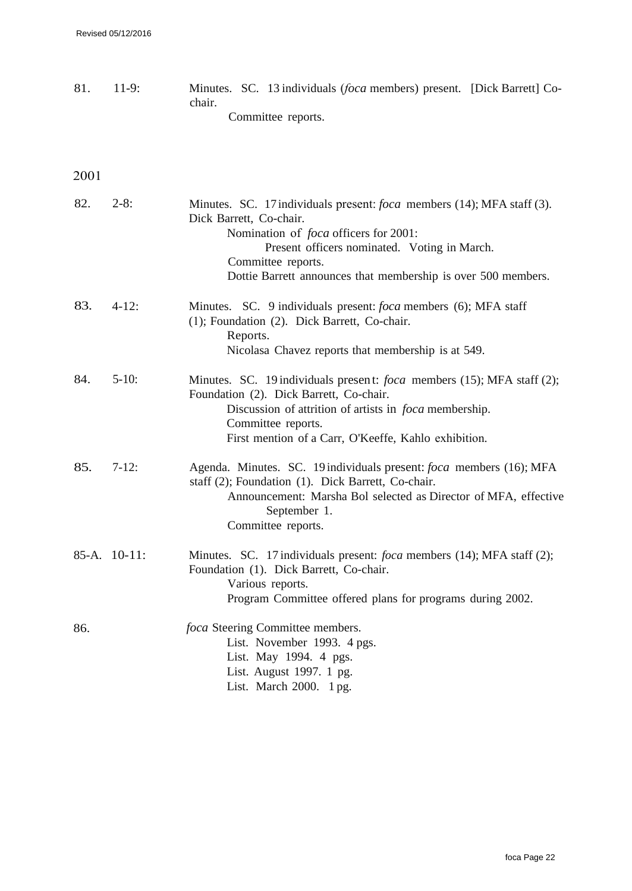81. 11-9: Minutes. SC. 13 individuals (*foca* members) present. [Dick Barrett] Cochair. Committee reports.

| 82. | $2-8:$       | Minutes. SC. 17 individuals present: <i>foca</i> members (14); MFA staff (3).<br>Dick Barrett, Co-chair.<br>Nomination of <i>foca</i> officers for 2001:<br>Present officers nominated. Voting in March.<br>Committee reports.<br>Dottie Barrett announces that membership is over 500 members. |
|-----|--------------|-------------------------------------------------------------------------------------------------------------------------------------------------------------------------------------------------------------------------------------------------------------------------------------------------|
| 83. | $4 - 12$ :   | Minutes. SC. 9 individuals present: <i>foca</i> members (6); MFA staff<br>(1); Foundation (2). Dick Barrett, Co-chair.<br>Reports.<br>Nicolasa Chavez reports that membership is at 549.                                                                                                        |
| 84. | $5 - 10$ :   | Minutes. SC. 19 individuals present: <i>foca</i> members (15); MFA staff (2);<br>Foundation (2). Dick Barrett, Co-chair.<br>Discussion of attrition of artists in <i>foca</i> membership.<br>Committee reports.<br>First mention of a Carr, O'Keeffe, Kahlo exhibition.                         |
| 85. | $7-12:$      | Agenda. Minutes. SC. 19 individuals present: <i>foca</i> members (16); MFA<br>staff (2); Foundation (1). Dick Barrett, Co-chair.<br>Announcement: Marsha Bol selected as Director of MFA, effective<br>September 1.<br>Committee reports.                                                       |
|     | 85-A. 10-11: | Minutes. SC. 17 individuals present: <i>foca</i> members (14); MFA staff (2);<br>Foundation (1). Dick Barrett, Co-chair.<br>Various reports.<br>Program Committee offered plans for programs during 2002.                                                                                       |
| 86. |              | foca Steering Committee members.<br>List. November 1993. 4 pgs.<br>List. May 1994. 4 pgs.<br>List. August 1997. 1 pg.<br>List. March 2000. 1 pg.                                                                                                                                                |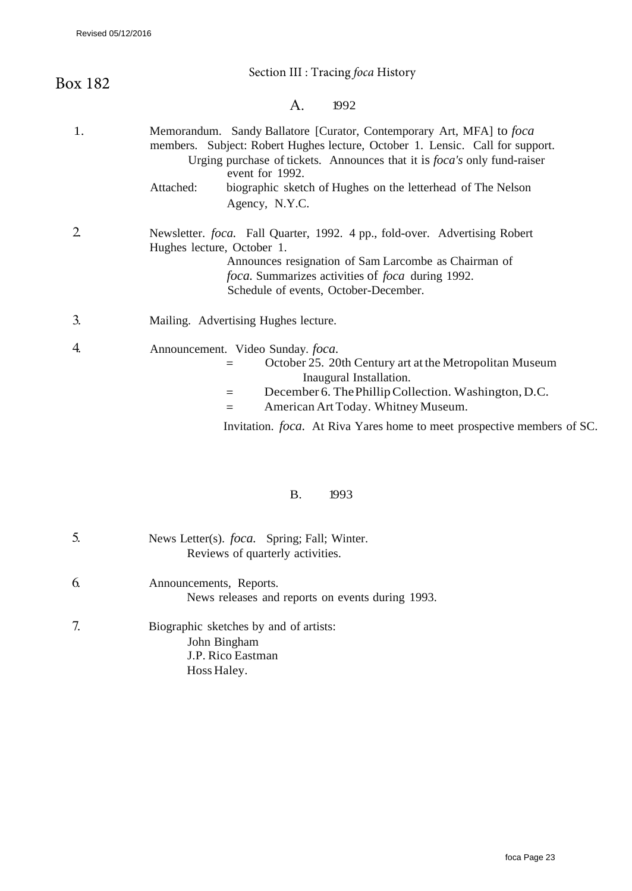| Section III : Tracing foca History                                                                                                                                                                                                                                                                                                                        |
|-----------------------------------------------------------------------------------------------------------------------------------------------------------------------------------------------------------------------------------------------------------------------------------------------------------------------------------------------------------|
| $\mathsf{A}$ .<br>1992                                                                                                                                                                                                                                                                                                                                    |
| Memorandum. Sandy Ballatore [Curator, Contemporary Art, MFA] to foca<br>members. Subject: Robert Hughes lecture, October 1. Lensic. Call for support.<br>Urging purchase of tickets. Announces that it is <i>foca's</i> only fund-raiser<br>event for 1992.<br>Attached:<br>biographic sketch of Hughes on the letterhead of The Nelson<br>Agency, N.Y.C. |
| Newsletter. foca. Fall Quarter, 1992. 4 pp., fold-over. Advertising Robert<br>Hughes lecture, October 1.<br>Announces resignation of Sam Larcombe as Chairman of<br><i>foca</i> . Summarizes activities of <i>foca</i> during 1992.<br>Schedule of events, October-December.                                                                              |
| Mailing. Advertising Hughes lecture.                                                                                                                                                                                                                                                                                                                      |
| Announcement. Video Sunday. foca.<br>October 25. 20th Century art at the Metropolitan Museum<br>Inaugural Installation.<br>December 6. The Phillip Collection. Washington, D.C.<br>$=$<br>American Art Today. Whitney Museum.<br>$=$<br>Invitation. foca. At Riva Yares home to meet prospective members of SC.                                           |
|                                                                                                                                                                                                                                                                                                                                                           |

### B. 1993

| 5. | News Letter(s). <i>foca</i> . Spring; Fall; Winter.<br>Reviews of quarterly activities.    |
|----|--------------------------------------------------------------------------------------------|
| 6. | Announcements, Reports.<br>News releases and reports on events during 1993.                |
| 7. | Biographic sketches by and of artists:<br>John Bingham<br>J.P. Rico Eastman<br>Hoss Haley. |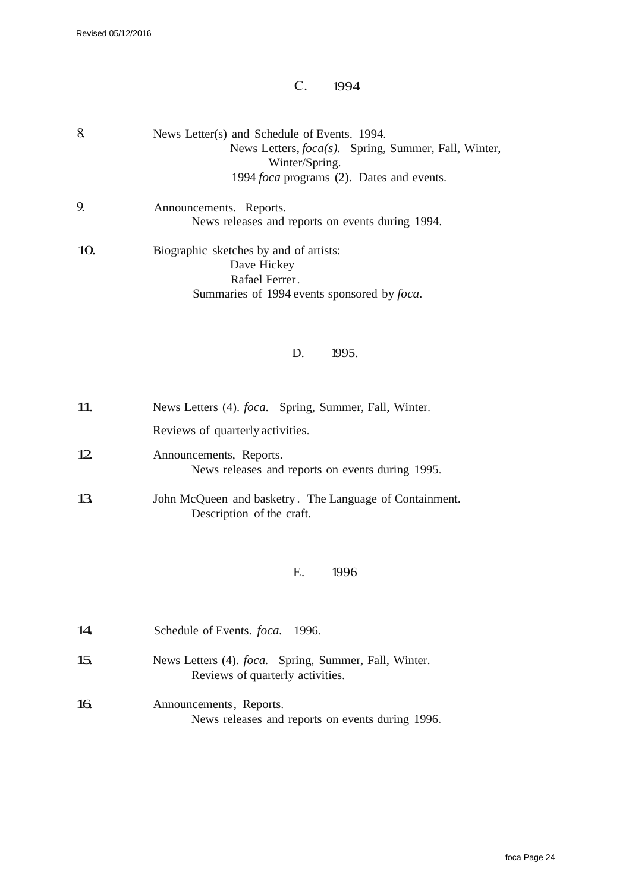# C. 1994

| 8.  | News Letter(s) and Schedule of Events. 1994.<br>News Letters, <i>foca(s)</i> . Spring, Summer, Fall, Winter,<br>Winter/Spring.<br>1994 foca programs (2). Dates and events. |
|-----|-----------------------------------------------------------------------------------------------------------------------------------------------------------------------------|
| 9.  | Announcements. Reports.<br>News releases and reports on events during 1994.                                                                                                 |
| 10. | Biographic sketches by and of artists:<br>Dave Hickey<br>Rafael Ferrer.<br>Summaries of 1994 events sponsored by foca.<br>1995.<br>D.                                       |
| 11. | News Letters (4). <i>foca</i> . Spring, Summer, Fall, Winter.<br>Reviews of quarterly activities.                                                                           |
| 12  | Announcements, Reports.<br>News releases and reports on events during 1995.                                                                                                 |
| 13. | John McQueen and basketry. The Language of Containment.                                                                                                                     |

# E. 1996

| 14. | Schedule of Events. <i>foca</i> . 1996.                                                           |
|-----|---------------------------------------------------------------------------------------------------|
| 15. | News Letters (4). <i>foca</i> . Spring, Summer, Fall, Winter.<br>Reviews of quarterly activities. |
| 16  | Announcements, Reports.<br>News releases and reports on events during 1996.                       |

Description of the craft.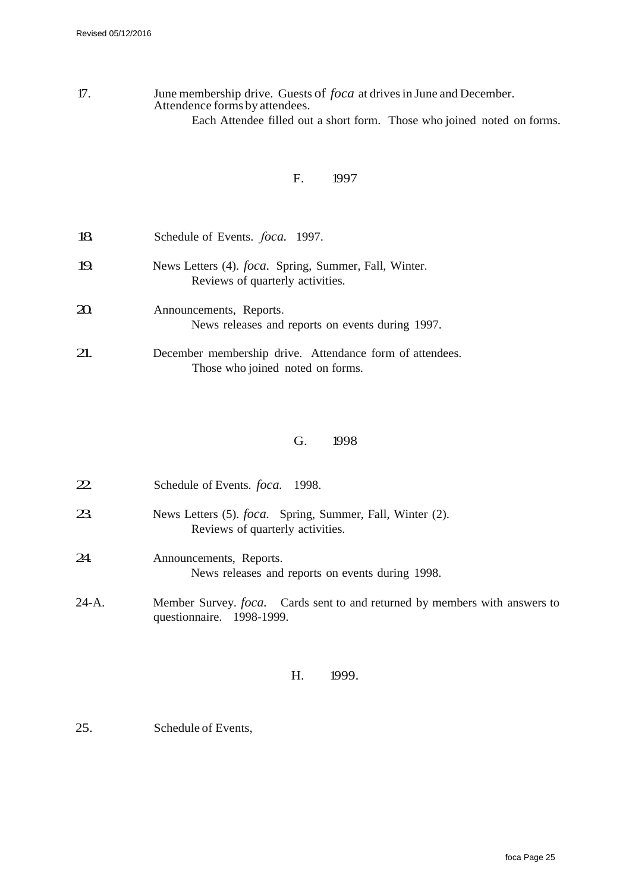### 17. June membership drive. Guests of *foca* at drives in June and December. Attendence forms by attendees. Each Attendee filled out a short form. Those who joined noted on forms.

### F. 1997

| 18      | Schedule of Events. <i>foca</i> . 1997.                                                           |
|---------|---------------------------------------------------------------------------------------------------|
| 19.     | News Letters (4). <i>foca</i> . Spring, Summer, Fall, Winter.<br>Reviews of quarterly activities. |
| $20 \,$ | Announcements, Reports.<br>News releases and reports on events during 1997.                       |
| 21.     | December membership drive. Attendance form of attendees.<br>Those who joined noted on forms.      |

#### G. 1998

| 22      | Schedule of Events. <i>foca</i> . 1998.                                                                         |
|---------|-----------------------------------------------------------------------------------------------------------------|
| 23.     | News Letters (5). <i>foca</i> . Spring, Summer, Fall, Winter (2).<br>Reviews of quarterly activities.           |
| 24.     | Announcements, Reports.<br>News releases and reports on events during 1998.                                     |
| $24-A.$ | Member Survey. <i>foca</i> . Cards sent to and returned by members with answers to<br>questionnaire. 1998-1999. |

### H. 1999.

25. Schedule of Events,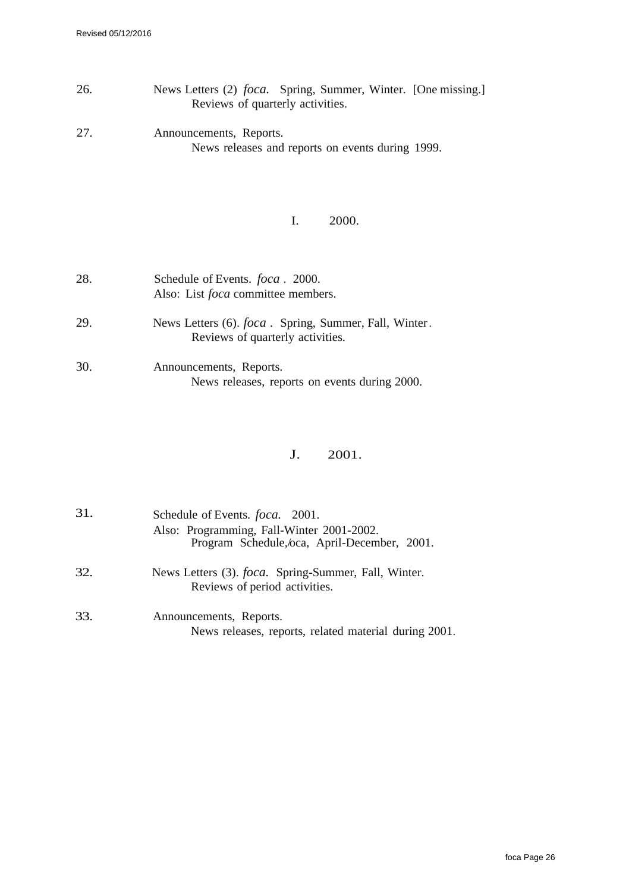- 26. News Letters (2) *foca.* Spring, Summer, Winter. [One missing.] Reviews of quarterly activities.
- 27. Announcements, Reports. News releases and reports on events during 1999.

### I. 2000.

| 28. | Schedule of Events. <i>foca</i> . 2000.<br>Also: List <i>foca</i> committee members.              |
|-----|---------------------------------------------------------------------------------------------------|
| 29. | News Letters (6). <i>foca</i> . Spring, Summer, Fall, Winter.<br>Reviews of quarterly activities. |
| 30. | Announcements, Reports.<br>News releases, reports on events during 2000.                          |

### J. 2001.

| 31. | Schedule of Events. <i>foca</i> . 2001.<br>Also: Programming, Fall-Winter 2001-2002.<br>Program Schedule, oca, April-December, 2001. |
|-----|--------------------------------------------------------------------------------------------------------------------------------------|
| 32. | News Letters (3). <i>foca</i> . Spring-Summer, Fall, Winter.<br>Reviews of period activities.                                        |
| 33. | Announcements, Reports.<br>News releases, reports, related material during 2001.                                                     |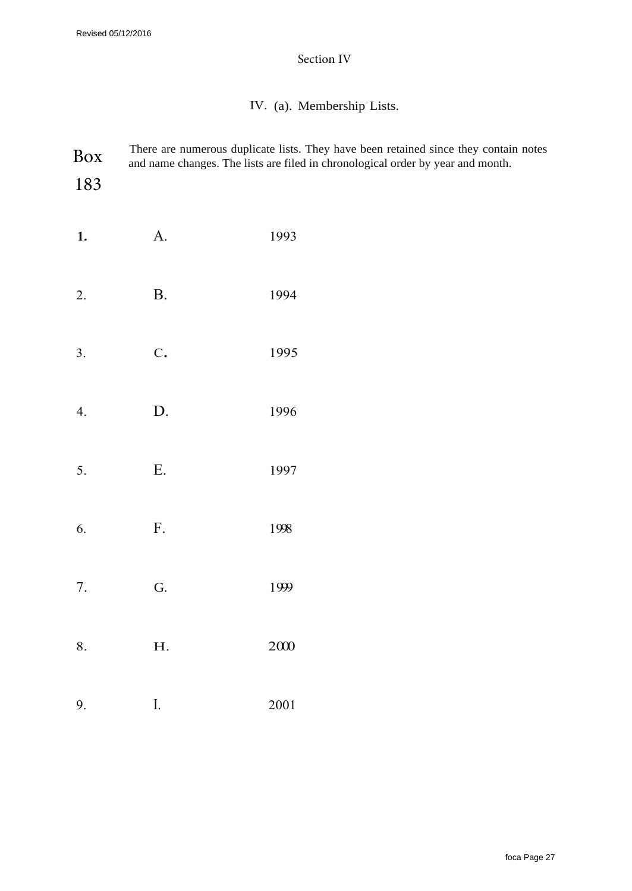# Section IV

# IV. (a). Membership Lists.

| Box<br>183 |                           | There are numerous duplicate lists. They have been retained since they contain notes<br>and name changes. The lists are filed in chronological order by year and month. |
|------------|---------------------------|-------------------------------------------------------------------------------------------------------------------------------------------------------------------------|
| 1.         | A.                        | 1993                                                                                                                                                                    |
| 2.         | <b>B.</b>                 | 1994                                                                                                                                                                    |
| 3.         | $\mathbf C$ .             | 1995                                                                                                                                                                    |
| 4.         | D.                        | 1996                                                                                                                                                                    |
| 5.         | E.                        | 1997                                                                                                                                                                    |
| 6.         | $F_{\cdot}$               | 1998                                                                                                                                                                    |
| 7.         | G.                        | 1999                                                                                                                                                                    |
| 8.         | ${\bf H}.$                | $2000\,$                                                                                                                                                                |
| 9.         | $\overline{\mathbf{l}}$ . | $2001\,$                                                                                                                                                                |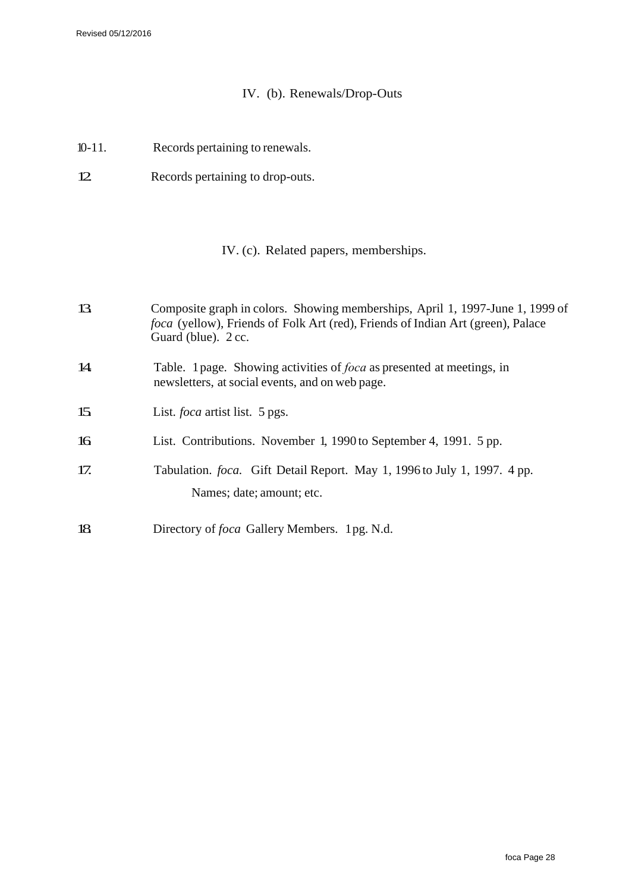# IV. (b). Renewals/Drop-Outs

- 10-11. Records pertaining to renewals.
- 12. Records pertaining to drop-outs.

# IV. (c). Related papers, memberships.

| 13               | Composite graph in colors. Showing memberships, April 1, 1997-June 1, 1999 of<br><i>foca</i> (yellow), Friends of Folk Art (red), Friends of Indian Art (green), Palace<br>Guard (blue). 2 cc. |
|------------------|------------------------------------------------------------------------------------------------------------------------------------------------------------------------------------------------|
| 14               | Table. 1 page. Showing activities of <i>foca</i> as presented at meetings, in<br>newsletters, at social events, and on web page.                                                               |
| 15 <sub>15</sub> | List. <i>foca</i> artist list. 5 pgs.                                                                                                                                                          |
| 16               | List. Contributions. November 1, 1990 to September 4, 1991. 5 pp.                                                                                                                              |
| 17.              | Tabulation. <i>foca.</i> Gift Detail Report. May 1, 1996 to July 1, 1997. 4 pp.<br>Names; date; amount; etc.                                                                                   |
| 18               | Directory of <i>foca</i> Gallery Members. 1pg. N.d.                                                                                                                                            |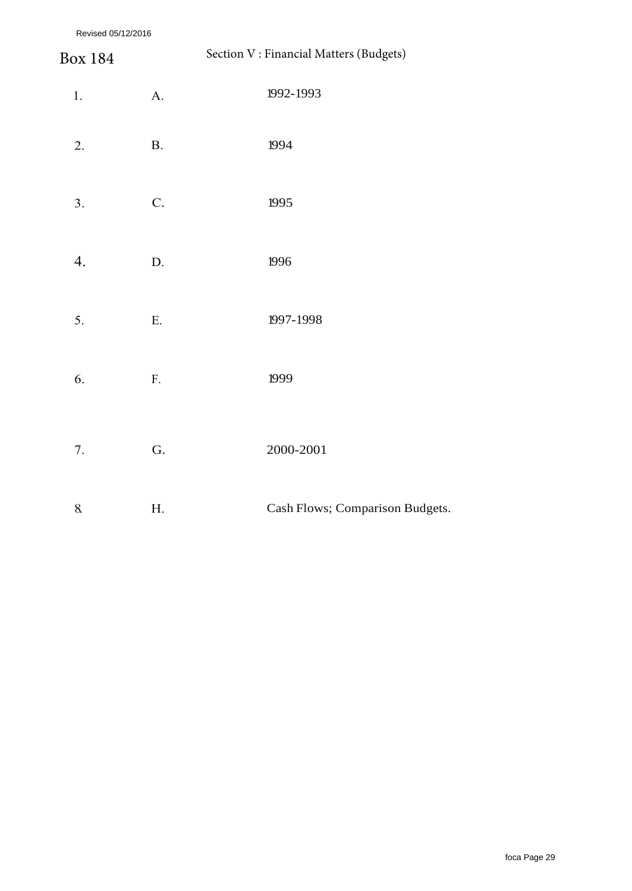Revised 05/12/2016

| Revised 05/12/2016 |               |                                         |
|--------------------|---------------|-----------------------------------------|
| <b>Box 184</b>     |               | Section V : Financial Matters (Budgets) |
| $1. \,$            | $A$ .         | 1992-1993                               |
| 2.                 | $\mathbf{B}.$ | 1994                                    |
| 3.                 | C.            | 1995                                    |
| 4.                 | $\mathbf{D}.$ | 1996                                    |
| 5.                 | ${\bf E}.$    | 1997-1998                               |
| 6.                 | ${\bf F}.$    | 1999                                    |
| 7.                 | G.            | 2000-2001                               |
| 8.                 | Η.            | Cash Flows; Comparison Budgets.         |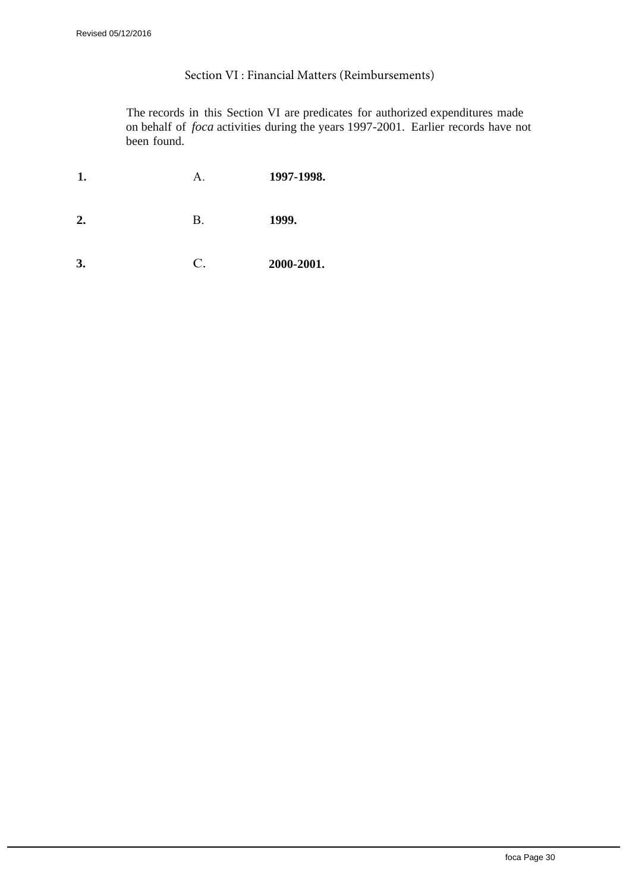### Section VI : Financial Matters (Reimbursements)

The records in this Section VI are predicates for authorized expenditures made on behalf of *foca* activities during the years 1997-2001. Earlier records have not been found.

| 1. | А.              | 1997-1998. |
|----|-----------------|------------|
| 2. | Β.              | 1999.      |
| 3. | $\mathcal{C}$ . | 2000-2001. |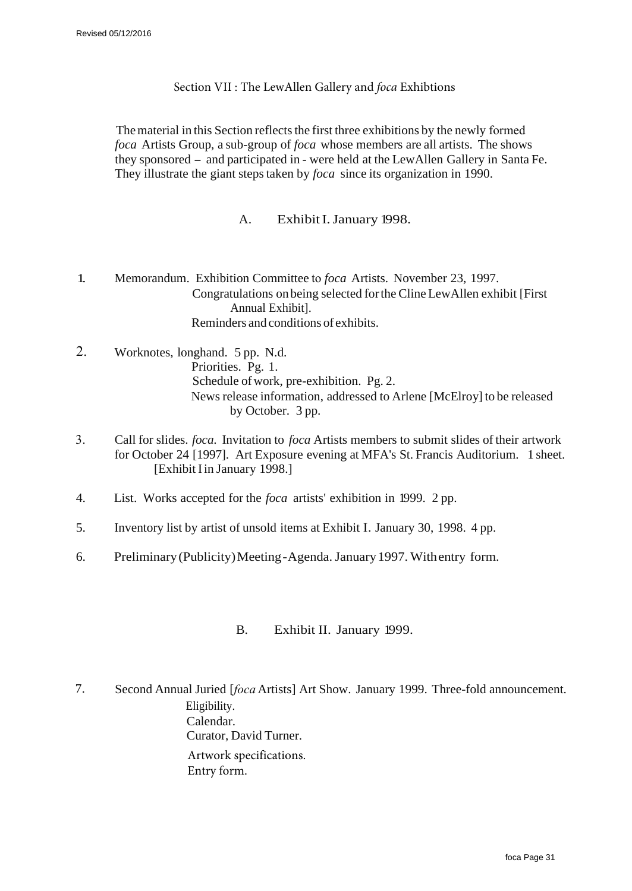### Section VII : The LewAllen Gallery and *foca* Exhibtions

The material in this Section reflects the first three exhibitions by the newly formed *foca* Artists Group, a sub-group of *foca* whose members are all artists. The shows they sponsored - and participated in - were held at the LewAllen Gallery in Santa Fe. They illustrate the giant steps taken by *foca* since its organization in 1990.

### A. Exhibit I. January 1998.

- 1. Memorandum. Exhibition Committee to *foca* Artists. November 23, 1997. Congratulations on being selected for the Cline LewAllen exhibit [First Annual Exhibit]. Reminders and conditions of exhibits.
- 2. Worknotes, longhand. 5 pp. N.d. Priorities. Pg. 1. Schedule of work, pre-exhibition. Pg. 2. News release information, addressed to Arlene [McElroy] to be released by October. 3 pp.
- 3. Call for slides. *foca.* Invitation to *foca* Artists members to submit slides of their artwork for October 24 [1997]. Art Exposure evening at MFA's St. Francis Auditorium. 1 sheet. [Exhibit I in January 1998.]
- 4. List. Works accepted for the *foca* artists' exhibition in 1999. 2 pp.
- 5. Inventory list by artist of unsold items at Exhibit I. January 30, 1998. 4 pp.
- 6. Preliminary (Publicity) Meeting Agenda. January 1997. With entry form.

### B. Exhibit II. January 1999.

7. Second Annual Juried [*foca* Artists] Art Show. January 1999. Three-fold announcement. Eligibility. Calendar. Curator, David Turner. Artwork specifications. Entry form.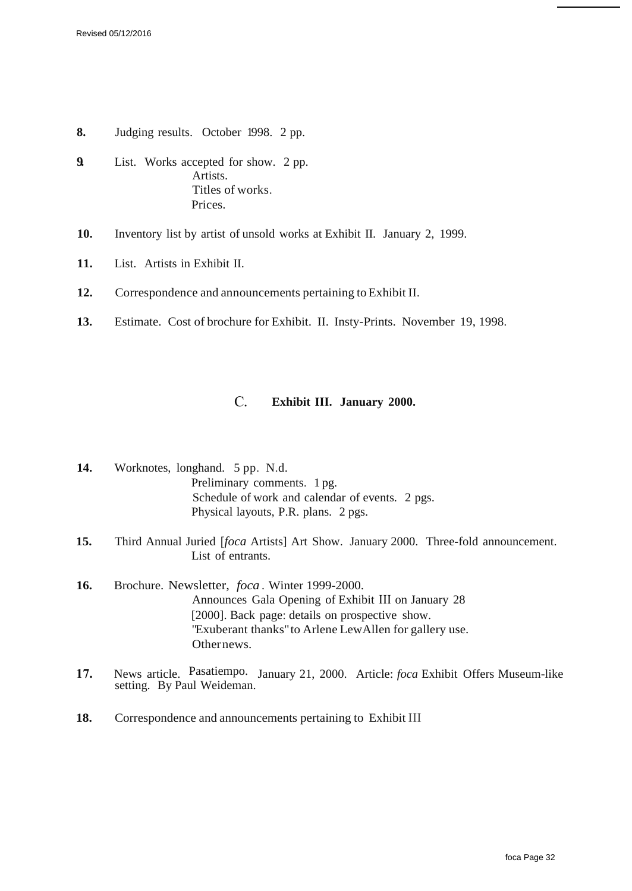- **8.** Judging results. October 1998. 2 pp.
- **9.** List. Works accepted for show. 2 pp. Artists. Titles of works. Prices.
- **10.** Inventory list by artist of unsold works at Exhibit II. January 2, 1999.
- **11.** List. Artists in Exhibit II.
- **12.** Correspondence and announcements pertaining to Exhibit II.
- **13.** Estimate. Cost of brochure for Exhibit. II. Insty-Prints. November 19, 1998.

### C. **Exhibit III. January 2000.**

- **14.** Worknotes, longhand. 5 pp. N.d. Preliminary comments. 1 pg. Schedule of work and calendar of events. 2 pgs. Physical layouts, P.R. plans. 2 pgs.
- **15.** Third Annual Juried [*foca* Artists] Art Show. January 2000. Three-fold announcement. List of entrants.
- **16.** Brochure. Newsletter, *foca .* Winter 1999-2000. Announces Gala Opening of Exhibit III on January 28 [2000]. Back page: details on prospective show. "Exuberant thanks" to Arlene LewAllen for gallery use. Other news.
- **17.** News article. Pasatiempo. January 21, 2000. Article: *foca* Exhibit Offers Museum-like setting. By Paul Weideman.
- **18.** Correspondence and announcements pertaining to Exhibit III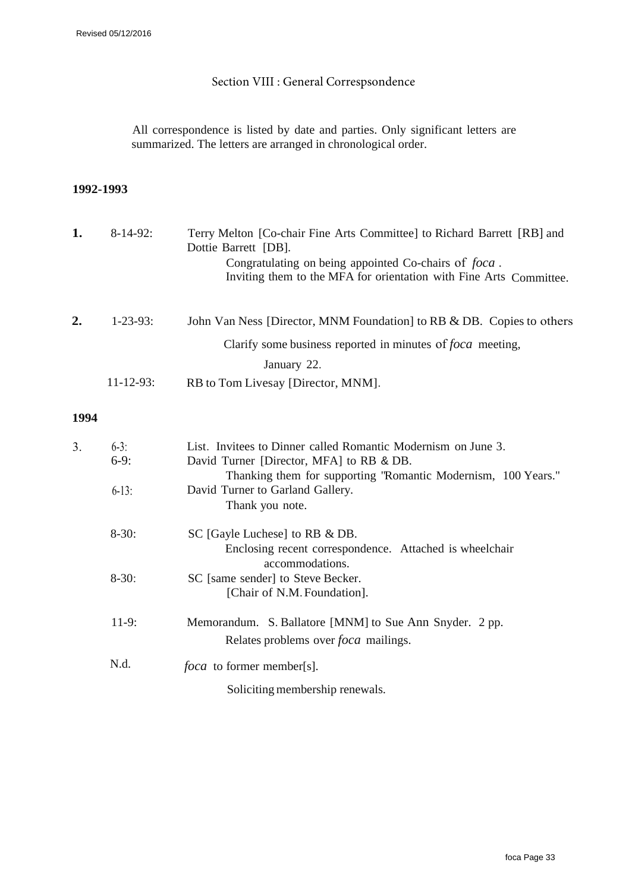# Section VIII : General Correspsondence

All correspondence is listed by date and parties. Only significant letters are summarized. The letters are arranged in chronological order.

### **1992-1993**

| 1. | $8-14-92$ :      | Terry Melton [Co-chair Fine Arts Committee] to Richard Barrett [RB] and |
|----|------------------|-------------------------------------------------------------------------|
|    |                  | Dottie Barrett [DB].                                                    |
|    |                  | Congratulating on being appointed Co-chairs of <i>foca</i> .            |
|    |                  | Inviting them to the MFA for orientation with Fine Arts Committee.      |
|    |                  |                                                                         |
| 2. | $1 - 23 - 93$ :  | John Van Ness [Director, MNM Foundation] to RB & DB. Copies to others   |
|    |                  | Clarify some business reported in minutes of <i>foca</i> meeting,       |
|    |                  | January 22.                                                             |
|    | $11 - 12 - 93$ : | RB to Tom Livesay [Director, MNM].                                      |

| 3 <sub>1</sub> | $6-3$ :  | List. Invitees to Dinner called Romantic Modernism on June 3. |
|----------------|----------|---------------------------------------------------------------|
|                | $6-9:$   | David Turner [Director, MFA] to RB & DB.                      |
|                |          | Thanking them for supporting "Romantic Modernism, 100 Years." |
|                | $6-13$ : | David Turner to Garland Gallery.                              |
|                |          | Thank you note.                                               |
|                | $8-30:$  | SC [Gayle Luchese] to RB & DB.                                |
|                |          | Enclosing recent correspondence. Attached is wheelchair       |
|                |          | accommodations.                                               |
|                | $8-30:$  | SC [same sender] to Steve Becker.                             |
|                |          | [Chair of N.M. Foundation].                                   |
|                | $11-9:$  | Memorandum. S. Ballatore [MNM] to Sue Ann Snyder. 2 pp.       |
|                |          | Relates problems over <i>foca</i> mailings.                   |
|                | N.d.     | <i>foca</i> to former member[s].                              |
|                |          | Soliciting membership renewals.                               |
|                |          |                                                               |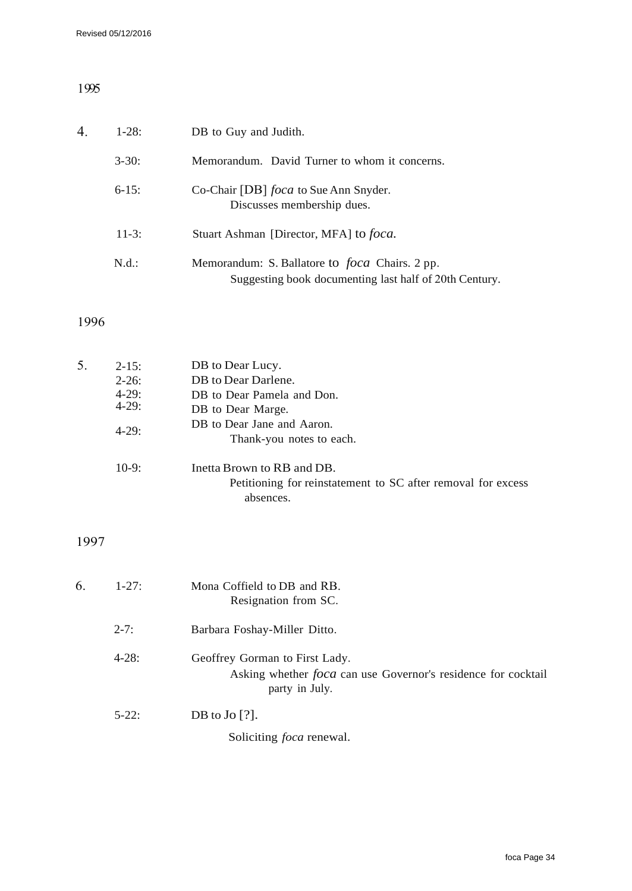# 1995

| $\overline{4}$ . | $1-28:$    | DB to Guy and Judith.                                                                                           |
|------------------|------------|-----------------------------------------------------------------------------------------------------------------|
|                  | $3 - 30$ : | Memorandum. David Turner to whom it concerns.                                                                   |
|                  | $6-15$ :   | Co-Chair [DB] <i>foca</i> to Sue Ann Snyder.<br>Discusses membership dues.                                      |
|                  | $11-3:$    | Stuart Ashman [Director, MFA] to foca.                                                                          |
|                  | N.d.:      | Memorandum: S. Ballatore to <i>foca</i> Chairs. 2 pp.<br>Suggesting book documenting last half of 20th Century. |

# 1996

| 5. | $2 - 15$ : | DB to Dear Lucy.                                             |
|----|------------|--------------------------------------------------------------|
|    | $2 - 26:$  | DB to Dear Darlene.                                          |
|    | $4-29:$    | DB to Dear Pamela and Don.                                   |
|    | $4 - 29:$  | DB to Dear Marge.                                            |
|    |            | DB to Dear Jane and Aaron.                                   |
|    | $4 - 29:$  | Thank-you notes to each.                                     |
|    | $10-9:$    | Inetta Brown to RB and DB.                                   |
|    |            | Petitioning for reinstatement to SC after removal for excess |
|    |            | absences.                                                    |
|    |            |                                                              |

| 6. | $1 - 27$ : | Mona Coffield to DB and RB.<br>Resignation from SC.                                                                      |
|----|------------|--------------------------------------------------------------------------------------------------------------------------|
|    | $2 - 7:$   | Barbara Foshay-Miller Ditto.                                                                                             |
|    | $4 - 28:$  | Geoffrey Gorman to First Lady.<br>Asking whether <i>foca</i> can use Governor's residence for cocktail<br>party in July. |
|    | $5-22$ :   | DB to $Jo$ [?].                                                                                                          |
|    |            | Soliciting <i>foca</i> renewal.                                                                                          |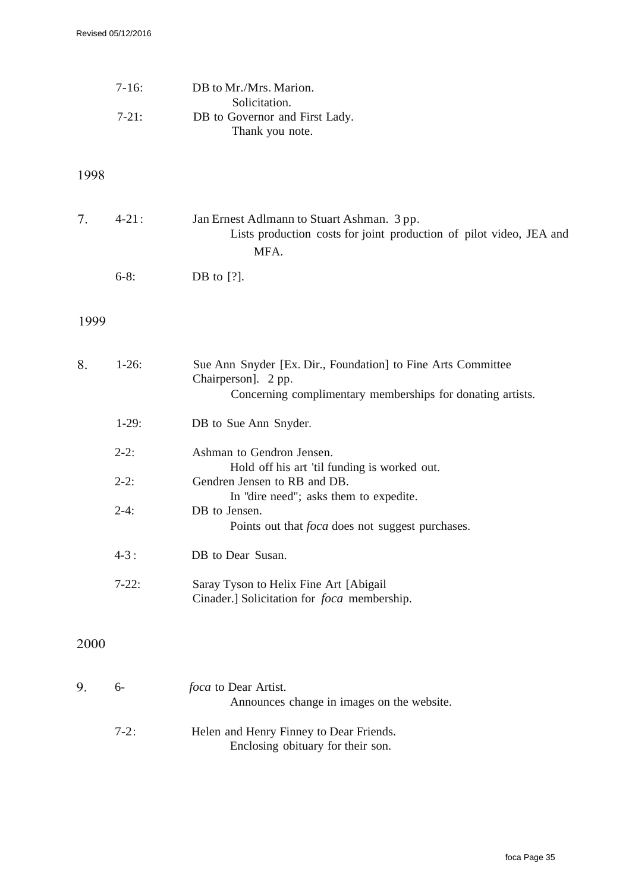|      | $7-16:$   | DB to Mr./Mrs. Marion.                                                                                                                            |
|------|-----------|---------------------------------------------------------------------------------------------------------------------------------------------------|
|      | $7-21:$   | Solicitation.<br>DB to Governor and First Lady.<br>Thank you note.                                                                                |
| 1998 |           |                                                                                                                                                   |
| 7.   | $4 - 21:$ | Jan Ernest Adlmann to Stuart Ashman. 3 pp.<br>Lists production costs for joint production of pilot video, JEA and<br>MFA.                         |
|      | $6-8:$    | DB to $[?]$ .                                                                                                                                     |
| 1999 |           |                                                                                                                                                   |
|      |           |                                                                                                                                                   |
| 8.   | $1-26:$   | Sue Ann Snyder [Ex. Dir., Foundation] to Fine Arts Committee<br>Chairperson]. 2 pp.<br>Concerning complimentary memberships for donating artists. |
|      | $1-29:$   | DB to Sue Ann Snyder.                                                                                                                             |
|      | $2-2:$    | Ashman to Gendron Jensen.<br>Hold off his art 'til funding is worked out.                                                                         |
|      | $2-2:$    | Gendren Jensen to RB and DB.<br>In "dire need"; asks them to expedite.                                                                            |
|      | $2-4:$    | DB to Jensen.<br>Points out that <i>foca</i> does not suggest purchases.                                                                          |
|      | $4 - 3:$  | DB to Dear Susan.                                                                                                                                 |
|      | $7-22:$   | Saray Tyson to Helix Fine Art [Abigail]<br>Cinader.] Solicitation for <i>foca</i> membership.                                                     |
| 2000 |           |                                                                                                                                                   |
| 9.   | $6-$      | <i>foca</i> to Dear Artist.<br>Announces change in images on the website.                                                                         |
|      | $7-2:$    | Helen and Henry Finney to Dear Friends.<br>Enclosing obituary for their son.                                                                      |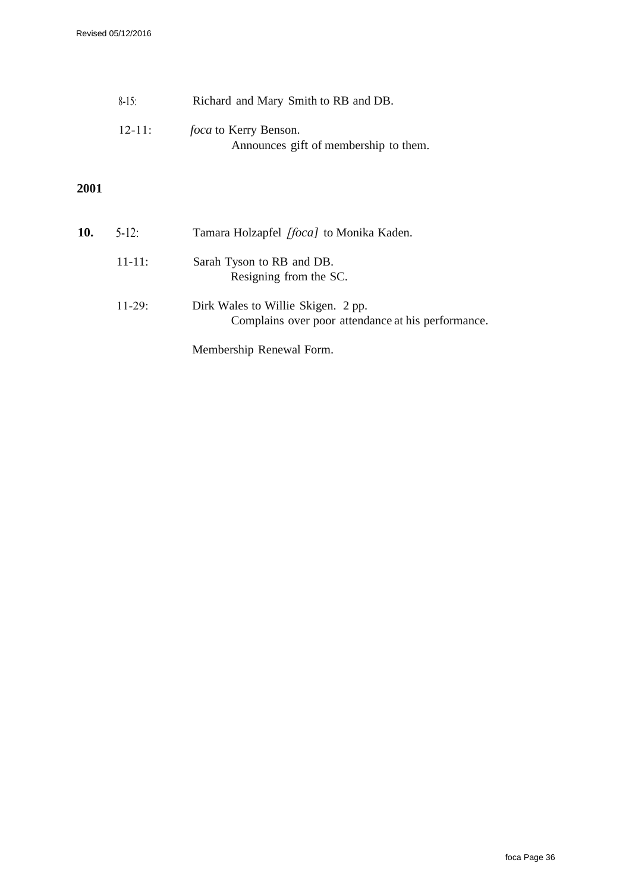| $8-15$      | Richard and Mary Smith to RB and DB.  |
|-------------|---------------------------------------|
| $12 - 11$ : | <i>foca</i> to Kerry Benson.          |
|             | Announces gift of membership to them. |

| <b>10.</b> | $5-12$ :    | Tamara Holzapfel [foca] to Monika Kaden.                                                 |
|------------|-------------|------------------------------------------------------------------------------------------|
|            | $11 - 11$ : | Sarah Tyson to RB and DB.<br>Resigning from the SC.                                      |
|            | $11-29$ :   | Dirk Wales to Willie Skigen. 2 pp.<br>Complains over poor attendance at his performance. |
|            |             | Membership Renewal Form.                                                                 |